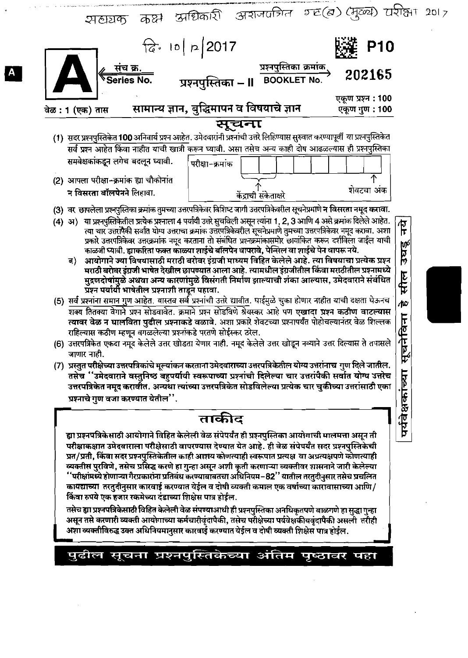| शखयक कक्ष अधिकारी अशजवत्रित म्ह(ब) (मुख्य) यरीक्षा २०१ <sub>७</sub>                                                                                                                                                                                                                                                                                                                                                                                                                                                                                                                                                                                                                                                                                                                                                                                                                                                                                                                                                                                                                                                                                                                                                                                                                                                                                                                                                                                                                                                                                                                                                                                                                                                                                                                                                                                                                                                                                                                                       |  |  |  |  |  |  |  |
|-----------------------------------------------------------------------------------------------------------------------------------------------------------------------------------------------------------------------------------------------------------------------------------------------------------------------------------------------------------------------------------------------------------------------------------------------------------------------------------------------------------------------------------------------------------------------------------------------------------------------------------------------------------------------------------------------------------------------------------------------------------------------------------------------------------------------------------------------------------------------------------------------------------------------------------------------------------------------------------------------------------------------------------------------------------------------------------------------------------------------------------------------------------------------------------------------------------------------------------------------------------------------------------------------------------------------------------------------------------------------------------------------------------------------------------------------------------------------------------------------------------------------------------------------------------------------------------------------------------------------------------------------------------------------------------------------------------------------------------------------------------------------------------------------------------------------------------------------------------------------------------------------------------------------------------------------------------------------------------------------------------|--|--|--|--|--|--|--|
| $\int_{0}^{\infty}$ , 10   p   2017<br><b>P10</b>                                                                                                                                                                                                                                                                                                                                                                                                                                                                                                                                                                                                                                                                                                                                                                                                                                                                                                                                                                                                                                                                                                                                                                                                                                                                                                                                                                                                                                                                                                                                                                                                                                                                                                                                                                                                                                                                                                                                                         |  |  |  |  |  |  |  |
| ्प्रश्नपुस्तिका – ॥ अश्नपुस्तिका क्रमांक<br>े BOOKLET No.<br><u>संच क्र.</u><br>Series No.<br>202165                                                                                                                                                                                                                                                                                                                                                                                                                                                                                                                                                                                                                                                                                                                                                                                                                                                                                                                                                                                                                                                                                                                                                                                                                                                                                                                                                                                                                                                                                                                                                                                                                                                                                                                                                                                                                                                                                                      |  |  |  |  |  |  |  |
| एकूण प्रश्न : 100<br>सामान्य ज्ञान, बुद्धिमापन व विषयाचे ज्ञान<br>एकूण गुण: 100<br>वेळ : 1 (एक) तास                                                                                                                                                                                                                                                                                                                                                                                                                                                                                                                                                                                                                                                                                                                                                                                                                                                                                                                                                                                                                                                                                                                                                                                                                                                                                                                                                                                                                                                                                                                                                                                                                                                                                                                                                                                                                                                                                                       |  |  |  |  |  |  |  |
| सूचना                                                                                                                                                                                                                                                                                                                                                                                                                                                                                                                                                                                                                                                                                                                                                                                                                                                                                                                                                                                                                                                                                                                                                                                                                                                                                                                                                                                                                                                                                                                                                                                                                                                                                                                                                                                                                                                                                                                                                                                                     |  |  |  |  |  |  |  |
| (1) सदर प्रश्नपुस्तिकेत 100 अनिवार्य प्रश्न आहेत. उमेदवारांनी प्रश्नांची उत्तरे लिहिण्यास सुरुवात करण्यापूर्वी या प्रश्नपुस्तिकेत                                                                                                                                                                                                                                                                                                                                                                                                                                                                                                                                                                                                                                                                                                                                                                                                                                                                                                                                                                                                                                                                                                                                                                                                                                                                                                                                                                                                                                                                                                                                                                                                                                                                                                                                                                                                                                                                         |  |  |  |  |  |  |  |
| सर्व प्रश्न आहेत किंवा नाहीत यांची खात्री करून घ्यावी. असा तसेच अन्य काही दोष आढळल्यास ही प्रश्नपुस्तिका                                                                                                                                                                                                                                                                                                                                                                                                                                                                                                                                                                                                                                                                                                                                                                                                                                                                                                                                                                                                                                                                                                                                                                                                                                                                                                                                                                                                                                                                                                                                                                                                                                                                                                                                                                                                                                                                                                  |  |  |  |  |  |  |  |
| समवेक्षकांकडून लगेच बदलून घ्यावी.<br>परीक्षा-क्रमांक                                                                                                                                                                                                                                                                                                                                                                                                                                                                                                                                                                                                                                                                                                                                                                                                                                                                                                                                                                                                                                                                                                                                                                                                                                                                                                                                                                                                                                                                                                                                                                                                                                                                                                                                                                                                                                                                                                                                                      |  |  |  |  |  |  |  |
| ↑<br>(2) आपला परीक्षा-क्रमांक ह्या चौकोनांत                                                                                                                                                                                                                                                                                                                                                                                                                                                                                                                                                                                                                                                                                                                                                                                                                                                                                                                                                                                                                                                                                                                                                                                                                                                                                                                                                                                                                                                                                                                                                                                                                                                                                                                                                                                                                                                                                                                                                               |  |  |  |  |  |  |  |
| शेवटचा अंक<br>न विसरता बॉलपेनने लिहावा.<br>केंद्राची संकेताक्षरे                                                                                                                                                                                                                                                                                                                                                                                                                                                                                                                                                                                                                                                                                                                                                                                                                                                                                                                                                                                                                                                                                                                                                                                                                                                                                                                                                                                                                                                                                                                                                                                                                                                                                                                                                                                                                                                                                                                                          |  |  |  |  |  |  |  |
| (3) वर छापलेला प्रश्नपुस्तिका क्रमांक तुमच्या उत्तरपत्रिकेवर विशिष्ट जागी उत्तरपत्रिकेवरील सूचनेप्रमाणे न विसरता नमूद करावा.<br>(4) अ) या प्रश्नपुस्तिकेतील प्रत्येक प्रश्नाला 4 पर्यायी उत्तरे सुचविली असून त्यांना 1, 2, 3 आणि 4 असे क्रमांक दिलेले आहेत.<br>$\frac{\pi}{2}$<br>त्या चार उत्तरांपैकी सर्वात योग्य उत्तराचा क्रमांक उत्तरपत्रिकेवरील सूचनेप्रमाणे तुमच्या उत्तरपत्रिकेवर नमूद करावा. अशा<br>प्रकारे उत्तरपत्रिकेवर उत्तरक्रमांक नमूद करताना तो संबंधित प्रश्नक्रमांकासमोर छायांकित करून दर्शविला जाईल याची<br>उघङ्<br>काळजी घ्यावी. ह्याकरिता फक्त काळ्या शाईचे बॉलपेन वापरावे, पेन्सिल वा शाईचे पेन वापरू नये.<br>आयोगाने ज्या विषयासाठी मराठी बरोबर इंग्रजी माध्यम विहित केलेले आहे. त्या विषयाचा प्रत्येक प्रश्न<br>ब)<br>मराठी बरोबर इंग्रजी भाषेत देखील छापण्यात आला आहे. त्यामधील इंग्रजीतील किंवा मराठीतील प्रश्नामध्ये<br>सील<br>मुद्रणदोषांमुळे अथवा अन्य कारणांमुळे विसंगती निर्माण झाल्याची शंका आल्यास, उमेदवाराने संबंधित<br>प्रश्न पर्यायी भाषेतील प्रश्नाशी ताडून पहावा.<br>(5) सर्व प्रश्नांना समान गुण आहेत. यास्तव सर्व प्रश्नांची उत्तरे द्यावीत. घाईमुळे चुका होणार नाहीत याची दक्षता घेऊनच<br>Æ<br>शक्य तितक्या वेगाने प्रश्न सोडवावेत. क्रमाने प्रश्न सोडविणे श्रेयस्कर आहे पण एखादा प्रश्न कठीण वाटल्यास<br>चनेबिना<br>त्यावर वेळ न घालविता पुढील प्रश्नाकडे वळावे. अशा प्रकारे शेवटच्या प्रश्नापर्यंत पोहोचल्यानंतर वेळ शिल्लक<br>राहिल्यास कठीण म्हणून बगळलेल्या प्रश्नांकडे परतणे सोईस्कर ठरेल.<br>(6) उत्तरपत्रिकेत एकदा नमूद केलेले उत्तर खोडता येणार नाही. नमूद केलेले उत्तर खोडून नव्याने उत्तर दिल्यास ते तपासले<br>जाणार नाहा.<br>ᡃᡇ<br>(7) प्रस्तुत परीक्षेच्या उत्तरपत्रिकांचे मूल्यांकन करताना उमेदवाराच्या उत्तरपत्रिकेतील योग्य उत्तरांनाच गुण दिले जातील.<br>पर्यवेक्षकांच्या<br>तसेच ''उमेदवाराने वस्तुनिष्ठ बहुपर्यायी स्वरूपाच्या प्रश्नांची दिलेल्या चार उत्तरांपैकी सर्वात योग्य उत्तरेच<br>उत्तरपत्रिकेत नमूद करावीँत. अन्यथा त्यांच्या उत्तरपत्रिकेत सोडविलेल्या प्रत्येक चार चुकीच्या उत्तरांसाठी एका<br>प्रश्नाचे गुण वजा करण्यात येतील". |  |  |  |  |  |  |  |
| ताकीद                                                                                                                                                                                                                                                                                                                                                                                                                                                                                                                                                                                                                                                                                                                                                                                                                                                                                                                                                                                                                                                                                                                                                                                                                                                                                                                                                                                                                                                                                                                                                                                                                                                                                                                                                                                                                                                                                                                                                                                                     |  |  |  |  |  |  |  |
| ह्या प्रश्नपत्रिकेसाठी आयोगाने विहित केलेली वेळ संपेपर्यंत ही प्रश्नपुस्तिका आयोगाची मालमत्ता असून ती<br>परीक्षाकक्षात उमेदवाराला परीक्षेसाठी वापरण्यास देण्यात येत आहे. ही वेळ संपेपर्यंत सदर प्रश्नपुस्तिकेची<br>प्रत/प्रती, किंवा सदर प्रश्नपुस्तिकेतील काही आशय कोणत्याही स्वरूपात प्रत्यक्ष  वा अप्रत्यक्षपणे कोणत्याही<br>व्यक्तीम परविषो - तमेच प्रमित करणे हा गन्दा अग्रन अशी कृती करणाच्या व्यक्तीवर शामनाने जारी केलेल्या                                                                                                                                                                                                                                                                                                                                                                                                                                                                                                                                                                                                                                                                                                                                                                                                                                                                                                                                                                                                                                                                                                                                                                                                                                                                                                                                                                                                                                                                                                                                                                       |  |  |  |  |  |  |  |

व्यक्तीस पुरविणे, तसेच प्रसिद्ध करणे हा गुन्हा असून अशी कृती करणाऱ्या व्यक्तीवर शासनाने जारी केलेल्या<br>''परीक्षांमध्ये होणाऱ्या गैरप्रकारांना प्रतिबंध करण्याबाबतचा अधिनियम–82'' यातील तरतुदीनुसार तसेच प्रचलित कायद्याच्या तरतुदीनुसार कारवाई करण्यात येईल व दोषी व्यक्ती कमाल एक वर्षाच्या कारावासाच्या आणि/ किंवा रुपये एक हजार रकमेच्या दंडाच्या शिक्षेस पात्र होईल.

तसेच ह्या प्रश्नपत्रिकेसाठी विहित केलेली वेळ संपण्याआधी ही प्रश्नपुस्तिका अनधिकृतपणे बाळगणे हा सुद्धा गुन्हा अशा व्यक्तीविरुद्ध उक्त अधिनियमानुसार कारवाई करण्यात येईल व दोषी व्यक्ती शिक्षेस पात्र होईल.

# पुढील सूचना प्रश्नपुस्तिकेच्या अंतिम पृष्ठावर पहा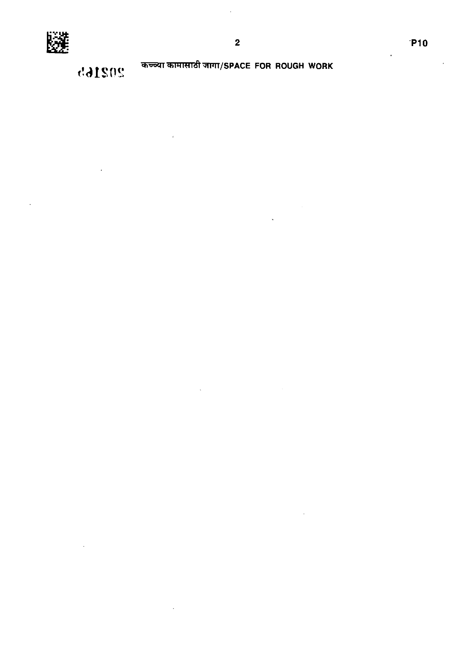

कच्च्या कामासाठी जागा/SPACE FOR ROUGH WORK

 $\hat{\mathbf{z}}$ 

 $\overline{\mathbf{2}}$ 

202165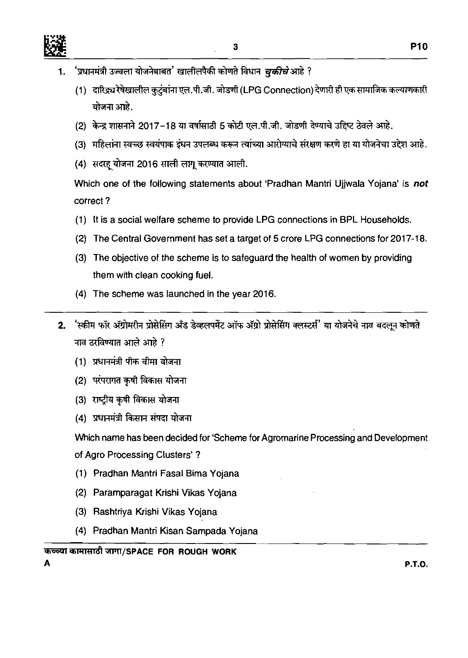- <sup>'</sup>प्रधानमंत्री उज्वला योजनेबाबत' खालीलपैकी कोणते विधान *चुकीचे* आहे ? 1.
	- (1) दारिद्र्य रेषेखालील कुटुंबांना एल.पी.जी. जोडणी (LPG Connection) देणारी ही एक सामाजिक कल्याणकारी योजना आहे.
	- (2) केन्द्र शासनाने 2017-18 या वर्षासाठी 5 कोटी एल.पी.जी. जोडणी देण्याचे उद्दिष्ट ठेवले आहे.
	- (3) महिलांना स्वच्छ स्वयंपाक इंधन उपलब्ध करून त्यांच्या आरोग्याचे संरक्षण करणे हा या योजनेचा उद्देश आहे.
	- (4) सदरह योजना 2016 साली लागू करण्यात आली.

Which one of the following statements about 'Pradhan Mantri Ujjwala Yojana' is not correct ?

- (1) It is a social welfare scheme to provide LPG connections in BPL Households.
- (2) The Central Government has set a target of 5 crore LPG connections for 2017-18.
- (3) The objective of the scheme is to safeguard the health of women by providing them with clean cooking fuel.
- (4) The scheme was launched in the year 2016.
- 'स्कीम फॉर ॲग्रोमरीन प्रोसेसिंग अँड डेव्हलपमेंट ऑफ ॲग्रो प्रोसेसिंग क्लस्टर्स' या योजनेचे नाव बदलून कोणते  $2<sub>1</sub>$ नाव ठरविण्यात आले आहे ?
	- (1) प्रधानमंत्री पीक वीमा योजना
	- (2) परंपरागत कृषी विकास योजना
	- (3) राष्ट्रीय कृषी विकास योजना
	- (4) प्रधानमंत्री किसान संपदा योजना

Which name has been decided for 'Scheme for Agromarine Processing and Development of Agro Processing Clusters' ?

- (1) Pradhan Mantri Fasal Bima Yojana
- (2) Paramparagat Krishi Vikas Yojana
- (3) Rashtriya Krishi Vikas Yojana
- (4) Pradhan Mantri Kisan Sampada Yojana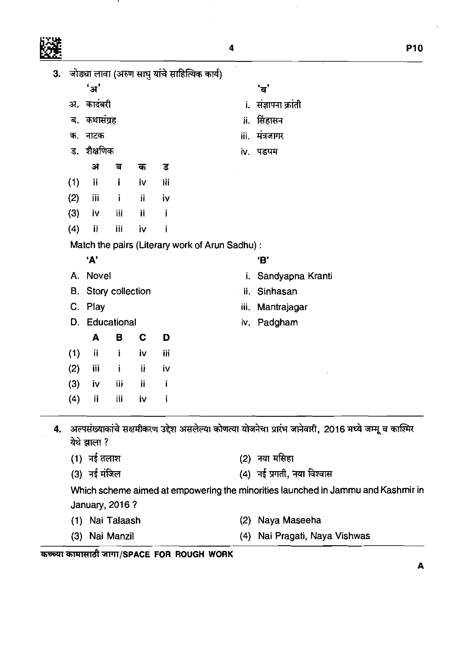л.

 $\frac{1}{2}$ 

 $\hat{\mathcal{L}}$ 

 $\ddot{\phantom{0}}$ 

| 3.          |                                       |                |    | जोड्या लावा (अरुण साधु यांचे साहित्यिक कार्य) |                                                |                                                                                                        |  |  |
|-------------|---------------------------------------|----------------|----|-----------------------------------------------|------------------------------------------------|--------------------------------------------------------------------------------------------------------|--|--|
|             | ' ਮ'                                  |                |    |                                               |                                                | 'ब'                                                                                                    |  |  |
|             | अ. कादंबरी                            |                |    |                                               | संज्ञापना क्रांती                              |                                                                                                        |  |  |
| ब.          | कथासंग्रह                             |                |    |                                               | ii.                                            | सिंहासन                                                                                                |  |  |
| क.          | नाटक                                  |                |    |                                               | iii.                                           | मंत्रजागर                                                                                              |  |  |
|             | ड. शैक्षणिक                           |                |    |                                               |                                                | iv. पड़धम                                                                                              |  |  |
|             | अ                                     | ब              | क  | ड                                             |                                                |                                                                                                        |  |  |
| (1)         | ij.                                   | j.             | İΜ | iii                                           |                                                |                                                                                                        |  |  |
| (2)         | iii                                   | i              | ìi | iv                                            |                                                |                                                                                                        |  |  |
| (3)         | İV.                                   | ijį            | ij | i                                             |                                                |                                                                                                        |  |  |
| (4)         | ij                                    | iii            | iv | i                                             |                                                |                                                                                                        |  |  |
|             |                                       |                |    |                                               | Match the pairs (Literary work of Arun Sadhu): |                                                                                                        |  |  |
|             | 'A'                                   |                |    |                                               |                                                | 'B'                                                                                                    |  |  |
| Novel<br>A. |                                       |                |    |                                               | i.                                             | Sandyapna Kranti                                                                                       |  |  |
|             | <b>B.</b> Story collection<br>C. Play |                |    |                                               | ii.<br>iii. Mantrajagar                        | Sinhasan                                                                                               |  |  |
|             |                                       |                |    |                                               |                                                |                                                                                                        |  |  |
| D.          |                                       | Educational    |    |                                               |                                                | iv. Padgham                                                                                            |  |  |
|             | A                                     | B              | C  | D                                             |                                                |                                                                                                        |  |  |
| (1)         | ii                                    | Ť              | iv | iii                                           |                                                |                                                                                                        |  |  |
| (2)         | <b>iii</b>                            | j              | ij | iv                                            |                                                |                                                                                                        |  |  |
| (3)         | iv                                    | iii            | ij |                                               |                                                |                                                                                                        |  |  |
| (4)         | ij                                    | iii            | iv |                                               |                                                |                                                                                                        |  |  |
| 4.          |                                       |                |    |                                               |                                                | अल्पसंख्याकांचे सक्षमीकरण उद्देश असलेल्या कोणत्या योजनेचा प्रारंभ जानेवारी, 2016 मध्ये जम्मू व काश्मिर |  |  |
|             | येथे झाला ?                           |                |    |                                               |                                                |                                                                                                        |  |  |
|             | $(1)$ नई तलाश                         |                |    |                                               |                                                | (2) नया मसिहा                                                                                          |  |  |
|             | (3) नई मंजिल                          |                |    |                                               |                                                | (4) नई प्रगती, नया विश्वास                                                                             |  |  |
|             |                                       |                |    |                                               |                                                | Which scheme aimed at empowering the minorities launched in Jammu and Kashmir in                       |  |  |
|             |                                       | January, 2016? |    |                                               |                                                |                                                                                                        |  |  |
| (1)         |                                       | Nai Talaash    |    |                                               | (2)                                            | Naya Maseeha                                                                                           |  |  |

(3) Nai Manzil (4) Nai Pragati, Naya Vishwas

**=E~UT~~~W?~~/SPACE FOR ROUGH WORK**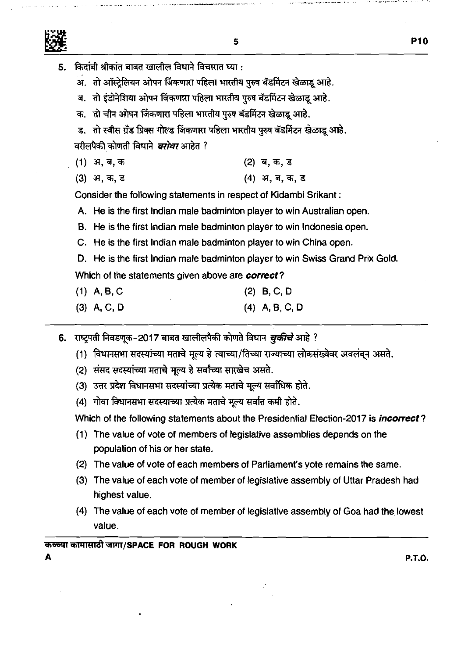- किदांबी श्रीकांत बाबत खालील विधाने विचारात घ्या :
	- अ. तो ऑस्ट्रेलियन ओपन जिंकणारा पहिला भारतीय पुरुष बॅडमिंटन खेळाडू आहे.
	- ब. तो इंडोनेशिया ओपन जिंकणारा पहिला भारतीय पुरुष बॅडमिंटन खेळाडू आहे.
	- क. तो चीन ओपन जिंकणारा पहिला भारतीय पुरुष बॅडमिंटन खेळाडू आहे.
	- ड. तो स्वीस ग्रँड प्रिक्स गोल्ड जिंकणारा पहिला भारतीय पुरुष बॅडमिंटन खेळाडू आहे.

वरीलपैकी कोणती विधाने *बरोबर* आहेत ?

- (1) अ, ब, क (2) ब, क, ड
- (4) अ. ब. क. ड (3) अ, क, ड

Consider the following statements in respect of Kidambi Srikant :

- A. He is the first lndian male badminton player to win Australian open.
- B. He is the first Indian male badminton player to win Indonesia open.
- C. He is the first lndian male badminton player to win China open.
- D. He is the first Indian male badminton player to win Swiss Grand Prix Gold.

Which of the statements given above are **correct?** 

- (1) A,B,C (2) B, C, D
- (3) A, **C,** D (4) A, B, C, D
- 6. राष्ट्रपती निवडणूक-2017 बाबत खालीलपैकी कोणते विधान *चुकीचे* आहे ?
	- (1) विधानसभा सदस्यांच्या मताचे मूल्य हे त्याच्या/तिच्या राज्याच्या लोकसंख्येवर अवलंबून असते.
	- (2) संसद सदस्यांच्या मताचे मूल्य हे सर्वांच्या सारखेच असते.
	- (3) उत्तर प्रदेश विधानसभा सदस्यांच्या प्रत्येक मताचे मूल्य सर्वाधिक होते.
	- (4) गोवा विधानसभा सदस्याच्या प्रत्येक मताचे मुल्य सर्वात कमी होते.

Which of the following statements about the Presidential Election-2017 is **incorrect?** 

- (1) The value of vote of members of legislative assemblies depends on the population of his or her state.
- (2) The value of vote of each members of Parliament's vote remains the same.
- (3) The value of each vote of member of legislative assembly of Uttar Pradesh had highest value.
- (4) The value of each vote of member of legislative assembly of Goa had the lowest value.

## कच्च्या कामासाठी जागा/SPACE\_FOR\_ROUGH\_WORK

A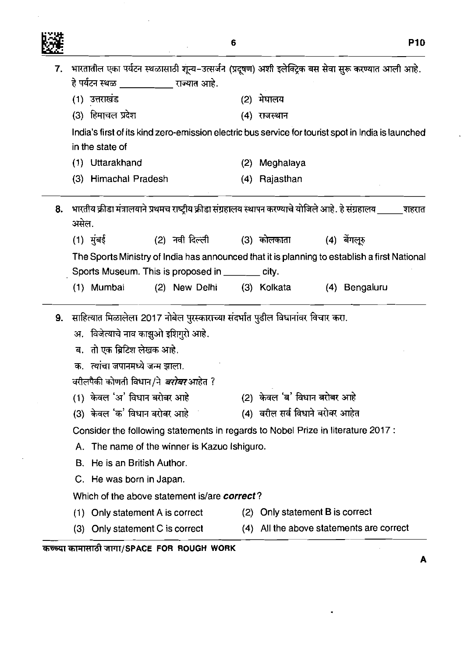| 躂 |                                                 |                                                                                                         | <b>P10</b>    |
|---|-------------------------------------------------|---------------------------------------------------------------------------------------------------------|---------------|
|   |                                                 | 7. भारतातील एका पर्यटन स्थळासाठी शून्य-उत्सर्जन (प्रदूषण) अशी इलेक्ट्रिक बस सेवा सुरू करण्यात आली आहे.  |               |
|   | हे पर्यटन स्थळ ______________ राज्यात आहे.      |                                                                                                         |               |
|   | (1) उत्तराखंड                                   | (2) मेघालय                                                                                              |               |
|   | (3) हिमाचल प्रदेश                               | (4) राजस्थान                                                                                            |               |
|   | in the state of                                 | India's first of its kind zero-emission electric bus service for tourist spot in India is launched      |               |
|   | (1) Uttarakhand                                 | (2) Meghalaya                                                                                           |               |
|   | (3) Himachal Pradesh                            | (4) Rajasthan                                                                                           |               |
|   |                                                 |                                                                                                         |               |
|   | असेल.                                           | 8. भारतीय क्रीडा मंत्रालयाने प्रथमच राष्ट्रीय क्रीडा संग्रहालय स्थापन करण्याचे योजिले आहे. हे संग्रहालय | शहरात         |
|   | (1) मुंबई<br>(2) नवी दिल्ली                     | (3) कोलकाता                                                                                             | (4) बेंगलूरु  |
|   |                                                 | The Sports Ministry of India has announced that it is planning to establish a first National            |               |
|   | Sports Museum. This is proposed in ______ city. |                                                                                                         |               |
|   | (1) Mumbai<br>(2) New Delhi                     | (3) Kolkata                                                                                             | (4) Bengaluru |
|   |                                                 |                                                                                                         |               |
|   |                                                 | 9. साहित्यात मिळालेला 2017 नोबेल पुरस्काराच्या संदर्भात पुढील विधानांवर विचार करा.                      |               |
|   | अ. विजेत्याचे नाव काझुओ इशिगुरो आहे.            |                                                                                                         |               |
|   | ब. तो एक ब्रिटिश लेखक आहे.                      |                                                                                                         |               |
|   | क. त्यांचा जपानमध्ये जन्म झाला.                 |                                                                                                         |               |
|   | वरीलपैकी कोणती विधान/ने <i>बरोबर</i> आहेत ?     |                                                                                                         |               |
|   | (1) केवल 'अ' विधान बरोबर आहे                    | (2) केवल 'ब' विधान बरोबर आहे                                                                            |               |
|   | (3) केवल 'क' विधान बरोबर आहे                    | (4) वरील सर्व विधाने बरोबर आहेत                                                                         |               |
|   |                                                 | Consider the following statements in regards to Nobel Prize in literature 2017 :                        |               |
|   | A. The name of the winner is Kazuo Ishiguro.    |                                                                                                         |               |
|   | B. He is an British Author.                     |                                                                                                         |               |
|   | C. He was born in Japan.                        |                                                                                                         |               |
|   | Which of the above statement is/are correct?    |                                                                                                         |               |
|   | (1) Only statement A is correct                 | (2) Only statement B is correct                                                                         |               |
|   | (3) Only statement C is correct                 | (4) All the above statements are correct                                                                |               |
|   | कच्च्या कामासाठी जागा/SPACE FOR ROUGH WORK      |                                                                                                         |               |

~~~~T/sPAcE **FOR ROUGH WORK** 

 $\mathbb{Z}$ 

 $\bullet$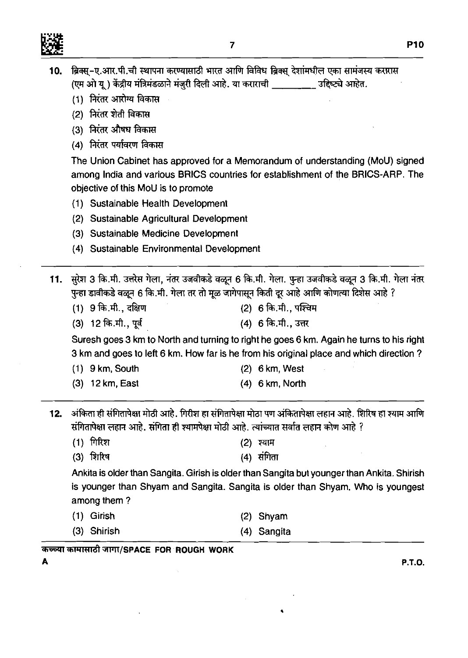

| 10. ब्रिक्स्-ए.आर.पी.ची स्थापना करण्यासाठी भारत आणि विविध ब्रिक्स् देशांमधील एका सामंजस्य करारास                  |  |
|-------------------------------------------------------------------------------------------------------------------|--|
| (एम ओ यू ) केंद्रीय मंत्रिमंडळाने मंजुरी दिली आहे. या कराराची ___<br><sup>—</sup> ग्ना ________ उद्दिष्ट्ये आहेत. |  |

- (एम ओ यू ) केंद्रीय मंत्रिमंडळा<br>(1) निरंतर आरोग्य विकास
- (1) निरंतर आरोग्य विव<br>(2) निरंतर शेती विकास
- (2) निरंतर शेती विकास<br>(3) निरंतर औषध विकास
- (4) **मिरंतर पर्यावरण विकास**

The Union Cabinet has approved for a Memorandum of understanding (MoU) signed among India and various BRlCS countries for establishment of the BRICS-ARP. The objective of this MoU is to promote

- (1) Sustainable Health Development
- (2) Sustainable Agricultural Development
- (3) Sustainable Medicine Development
- (4) Sustainable Environmental Development

11. सुरेश 3 कि.मी. उत्तरेस गेला, नंतर उजवीकडे वळून 6 कि.मी. गेला. पुन्हा उजवीकडे वळून 3 कि.मी. गेला नंतर पुन्हा डावीकडे वळून 6 कि.मी. गेला तर तो मूळ जागेपासून किती दूर आहे आणि कोणत्या दिशेस आहे ?

- (1) 9 %.rft., d%jl (2) 6%.rft., rn (3) 12 %.rft., \$ (4) s%.rft.,m
- 

Suresh goes 3 km to North and turning to right he goes 6 km. Again he turns to his right 3 km and goes to left 6 km. How far is he from his original place and which direction ?

| $(1)$ 9 km, South |  | $(2)$ 6 km, West |
|-------------------|--|------------------|
|-------------------|--|------------------|

(3) 12 km, East (4) 6 km, North

अंकिता ही संगितापेक्षा मोठी आहे. गिरीश हा संगितापेक्षा मोठा पण अंकितापेक्षा लहान आहे. शिरिष हा श्याम आणि  $12.$ संगितापेक्षा लहान आहे. संगिता ही श्यामपेक्षा मोठी आहे. त्यांच्यात सर्वात लहान कोण आहे ?

 $(1)$  गिरिश (2) श्याम

(3) शिरिष  $(4)$  संगिता

Ankita is older than Sangita. Girish is older than Sangita but younger than Ankita. Shirish is younger than Shyam and Sangita. Sangita is older than Shyam. Who is youngest among them ?

|  | (1) Girish |  | $(2)$ Shyam |
|--|------------|--|-------------|
|--|------------|--|-------------|

(3) Shirish (4) Sangita

कच्च्या कामासाठी जागा/SPACE FOR ROUGH WORK

**A P.T.O.** 

**P10**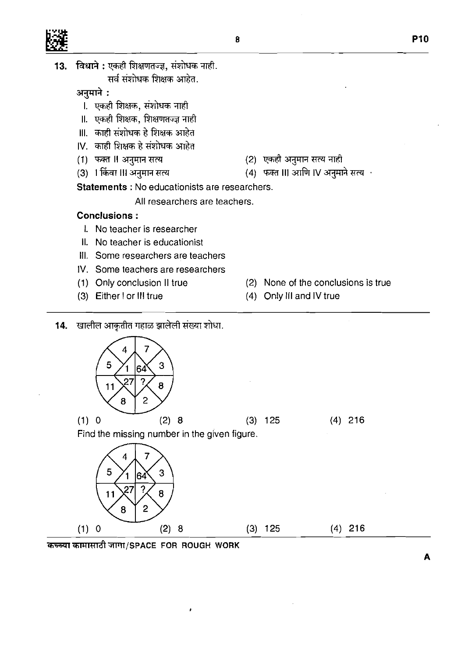|--|

13. विधाने: एकही शिक्षणतज्ज्ञ, संशोधक नाही.

सर्व संशोधक शिक्षक आहेत.

**m:** 

- नुमान .<br>I. एकही शिक्षक, संशोधक न
- II. एकही शिक्षक, शिक्षणतज्ज्ञ नाही
- III. काही संशोधक हे शिक्षक आहेत
- IV. काही शिक्षक हे संशोधक आहेत<br>(1) फक्त II अनुमान सत्य
- 
- (1) फक्त II अनुमान सत्य (2) एकही अनुमान सत्य नाही<br>(3) 1 किंवा III अनुमान सत्य (4) फक्त III आणि IV अनुमा
- 
- (4) फक्त III आणि IV अनुमाने सत्य $+$

**Statements** : No educationists are researchers.

All researchers are teachers.

## **Conclusions** :

- I. No teacher is researcher
- II. No teacher is educationist
- Ill. Some researchers are teachers
- IV. Some teachers are researchers
- 
- 
- (1) Only conclusion II true (2) None of the conclusions is true
- (3) Either 1 or Ill true (4) Only Ill and IV true
- 14. खालील आकृतीत गहाळ झालेली संख्या शोधा. 7 5 3 64  $\overline{?}$ 27  $11$ 8  $\overline{c}$ 8  $(1) 0$  $(2) 8$  $(3)$  125  $(4)$  216 Find the missing number in the given figure.  $\overline{7}$ 4 5 3 64 27 11 8  $\overline{2}$ 8  $(3)$  125  $(2) 8$  $(4)$  216  $(1) 0$

कच्च्या कामासाठी जागा/SPACE FOR ROUGH WORK

 $\pmb{\dot{r}}$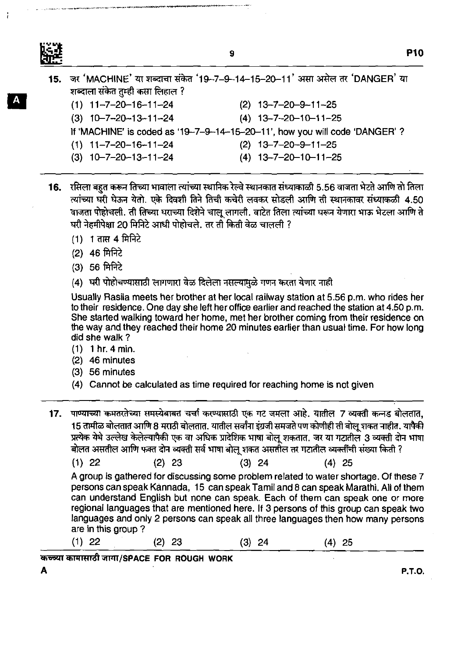**P10** 

|                                  | 15. ज़र 'MACHINE' या शब्दाचा संकेत '19-7-9-14-15-20-11' असा असेल तर 'DANGER' या |
|----------------------------------|---------------------------------------------------------------------------------|
| शब्दाला संकेत तुम्ही कसा लिहाल ? |                                                                                 |
| $(1)$ 11-7-20-16-11-24           | $(2)$ 13-7-20-9-11-25                                                           |
| $(3)$ 10-7-20-13-11-24           | $(4)$ 13-7-20-10-11-25                                                          |
|                                  | If 'MACHINE' is coded as '19-7-9-14-15-20-11', how you will code 'DANGER' ?     |
| $(1)$ 11-7-20-16-11-24           | $(2)$ 13-7-20-9-11-25                                                           |
| $(3)$ 10-7-20-13-11-24           | $(4)$ 13-7-20-10-11-25                                                          |

- 16.  $~$  रसिला बहत करून तिच्या भावाला त्यांच्या स्थानिक रेल्वे स्थानकात संध्याकाळी 5.56 वाजता भेटते आणि तो तिला त्यांच्या घरी घेऊन येतो. एके दिवशी तिने तिची कचेरी लवकर सोडली आणि ती स्थानकावर संध्याकळी 4.50 वाजता पोहोचली. ती तिच्या घराच्या दिशेने चालु लागली. वाटेत तिला त्यांच्या घरून येणारा भाऊ भेटला आणि ते घरी नेहमीपेक्षा 20 मिनिटे आधी पोहोचले. तर ती किती वेळ चालली ?
	- (1) 1 तास 4 मिनिटे
	- (2) 46 मिनिटे
	- $(3)$  56 मिनिटे
	- (4) घरी पोहोचण्यासाठी लागणारा वेळ दिलेला नसल्यामुळे गणन करता येणार नाही

Usually Rasila meets her brother at her local railway station at 5.56 p.m. who rides her to their residence. One day she left her office earlier and reached the station at 4.50 p.m. She started walking toward her home, met her brother coming from their residence on the way and they reached their home 20 minutes earlier than usual time. For how long did she walk ?

- (1) 1 hr. 4 min.
- (2) 46 minutes
- (3) 56 minutes
- (4) Cannot be calculated as time required for reaching home is not given
- 17. पाण्याच्या कमतरतेच्या समस्येबाबत चर्चा करण्यासाठी एक गट जमला आहे. यातील 7 व्यक्ती कन्नड बोलतात, 15 तामीळ बोलतात आणि 8 मराठी बोलतात. यातील सर्वांना इंग्रजी समजते पण कोणीही ती बोल शकत नाहीत. यापैकी प्रत्येक येथे उल्लेख केलेल्यापैकी एक वा अधिक प्रादेशिक भाषा बोलू शकतात. जर या गटातील 3 व्यक्ती दोन भाषा बोलत असतील आणि फक्त दोन व्यक्ती सर्व भाषा बोल शकत असतील तर गटातील व्यक्तींची संख्या किती ?
	- $(1)$  22  $(2)$  23  $(3)$  24  $(4)$  25

A group is gathered for discussing some problem related to water shortage. Of these 7 persons can speak Kannada, 15 can speak Tamil and 8 can speak Marathi. All of them can understand English but none can speak. Each of them can speak one or more regional languages that are mentioned here. If 3 persons of this group can speak two languages and only 2 persons can speak all three languages then how many persons are in this group 7

(1) 22 (2) 23 (3) 24 (4) 25

**<sup>~</sup>W~TR&~/SPACE FOR ROUGH WORK**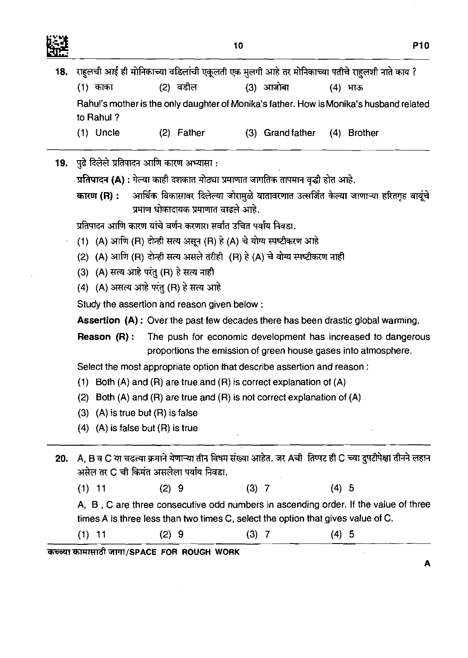

 $\bar{\mathcal{A}}$ 

 $\hat{\mathcal{A}}$ 

 $\frac{1}{2}$ 

 $\boldsymbol{\mathsf{A}}$ 

|     |             |                                                                                                                                                                         | 10      |           |                              | <b>P10</b> |
|-----|-------------|-------------------------------------------------------------------------------------------------------------------------------------------------------------------------|---------|-----------|------------------------------|------------|
| 18. |             | राहुलची आई ही मोनिकाच्या वडिलांची एकूलती एक मुलगी आहे तर मोनिकाच्या पतीचे राहुलशी नाते काय ?                                                                            |         |           |                              |            |
|     | (1) काका    | <u>(2) वडील</u>                                                                                                                                                         |         | (3) आजोबा | (4) भाऊ                      |            |
|     | to Rahul?   | Rahul's mother is the only daughter of Monika's father. How is Monika's husband related                                                                                 |         |           |                              |            |
|     | $(1)$ Uncle | $(2)$ Father                                                                                                                                                            |         |           | (3) Grand father (4) Brother |            |
|     |             | 19. पुढे दिलेले प्रतिपादन आणि कारण अभ्यासा :                                                                                                                            |         |           |                              |            |
|     |             | प्रतिपादन (A) : गेल्या काही दशकात मोठ्या प्रमाणात जागतिक तापमान वृद्धी होत आहे.                                                                                         |         |           |                              |            |
|     |             | कारण (R) : अार्थिक विकासावर दिलेल्या जोरामुळे वातावरणात उत्सर्जित केल्या जाणाऱ्या हरितगृह वायूंचे<br>प्रमाण धोकादायक प्रमाणात वाढले आहे.                                |         |           |                              |            |
|     |             | प्रतिपादन आणि कारण यांचे वर्णन करणारा सर्वात उचित पर्याय निवडा.                                                                                                         |         |           |                              |            |
|     |             | (1) (A) आणि (R) दोन्ही सत्य असून (R) हे (A) चे योग्य स्पष्टीकरण आहे                                                                                                     |         |           |                              |            |
|     |             | (2) (A) आणि (R) दोन्ही सत्य असले तरीही (R) हे (A) चे योग्य स्पष्टीकरण नाही                                                                                              |         |           |                              |            |
|     |             | (3) (A) सत्य आहे परंतु (R) हे सत्य नाही                                                                                                                                 |         |           |                              |            |
|     |             | (4) (A) असत्य आहे परंतु (R) हे सत्य आहे                                                                                                                                 |         |           |                              |            |
|     |             | Study the assertion and reason given below:                                                                                                                             |         |           |                              |            |
|     |             | <b>Assertion (A):</b> Over the past few decades there has been drastic global warming.                                                                                  |         |           |                              |            |
|     | Reason (R): | The push for economic development has increased to dangerous<br>proportions the emission of green house gases into atmosphere.                                          |         |           |                              |            |
|     |             | Select the most appropriate option that describe assertion and reason:                                                                                                  |         |           |                              |            |
|     |             | (1) Both $(A)$ and $(R)$ are true and $(R)$ is correct explanation of $(A)$                                                                                             |         |           |                              |            |
|     | (2)         | Both (A) and (R) are true and (R) is not correct explanation of $(A)$                                                                                                   |         |           |                              |            |
|     |             | $(3)$ $(A)$ is true but $(R)$ is false                                                                                                                                  |         |           |                              |            |
|     |             | $(4)$ $(A)$ is false but $(R)$ is true                                                                                                                                  |         |           |                              |            |
| 20. |             | A, B व C या चढत्या क्रमाने येणाऱ्या तीन विषम संख्या आहेत. जर Aची  तिप्पट ही C च्या दुपटीपेक्षा तीनने लहान<br>असेल तर C ची किमंत असलेला पर्याय निवडा.                    |         |           |                              |            |
|     | $(1)$ 11    | (2) 9                                                                                                                                                                   | $(3)$ 7 |           | (4) 5                        |            |
|     |             | A, B, C are three consecutive odd numbers in ascending order. If the value of three<br>times A is three less than two times C, select the option that gives value of C. |         |           |                              |            |
|     | $(1)$ 11    | (2) 9                                                                                                                                                                   | $(3)$ 7 |           | $(4)$ 5                      |            |

कच्च्या कामासाठी जागा/SPACE FOR ROUGH WORK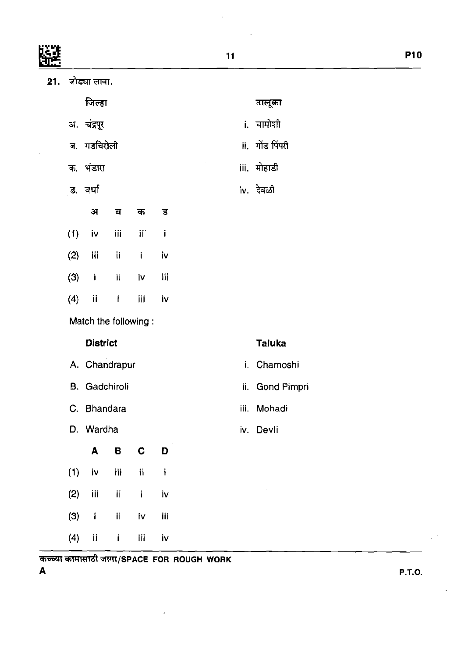|     |           |                      |     |                 |     | 11            |                  |
|-----|-----------|----------------------|-----|-----------------|-----|---------------|------------------|
| 21. |           | जोड्या लावा.         |     |                 |     |               |                  |
|     |           | जिल्हा               |     |                 |     |               | तालूका           |
|     |           | अ. चंद्रपूर          |     |                 |     |               | <b>i.</b> चामोशी |
|     |           | ब. गडचिरोली          |     |                 |     | ii.           | गोंड पिंपरी      |
|     |           | क. भंडारा            |     |                 |     |               | iii. मोहाडी      |
|     |           | ुड. वर्धा            |     |                 |     |               | iv. देवळी        |
|     |           | अ                    | ब   | क               | ड   |               |                  |
|     | (1)       | iv                   | ijį | $\mathbf{ii}^*$ | j   |               |                  |
|     | (2)       | iii                  | ij  | $\mathbf{i}$    | iv  |               |                  |
|     | (3)       | $\mathbf i$          | ij. | iv              | iii |               |                  |
|     | (4)       | ij                   | İ   | iii             | iv  |               |                  |
|     |           | Match the following: |     |                 |     |               |                  |
|     |           | <b>District</b>      |     |                 |     |               | <b>Taluka</b>    |
|     |           | A. Chandrapur        |     |                 |     | i.            | Chamoshi         |
|     | <b>B.</b> | Gadchiroli           |     |                 |     | $\mathbf{ii}$ | Gond Pimpri      |
|     |           | C. Bhandara          |     |                 |     |               | iii. Mohadi      |
|     |           | D. Wardha            |     |                 |     |               | iv. Devli        |
|     |           | A                    | B   | $\mathbf C$     | D   |               |                  |
|     | (1)       | iv                   | ijį | $\mathbf i$     | j   |               |                  |
|     | (2)       | iii                  | ij  | $\mathbf{i}$    | İV  |               | $\epsilon$       |
|     | (3)       | $\mathbf i$          | ij  | İV              | iii |               |                  |
|     | (4)       | $\mathbf{ii}$        | İ.  | iii             | iv  |               |                  |
|     |           |                      |     |                 |     |               |                  |

 $\mathcal{L}_{\text{max}}$ 

 $\frac{1}{2}$  ,  $\frac{1}{2}$  ,  $\frac{1}{2}$ 

कच्च्या कामासाठी जागा/SPACE FOR ROUGH WORK<br>A

 $\sim 10^{-11}$ 

**A P.T.O.** 

 $\bar{\mathcal{A}}$ 

l,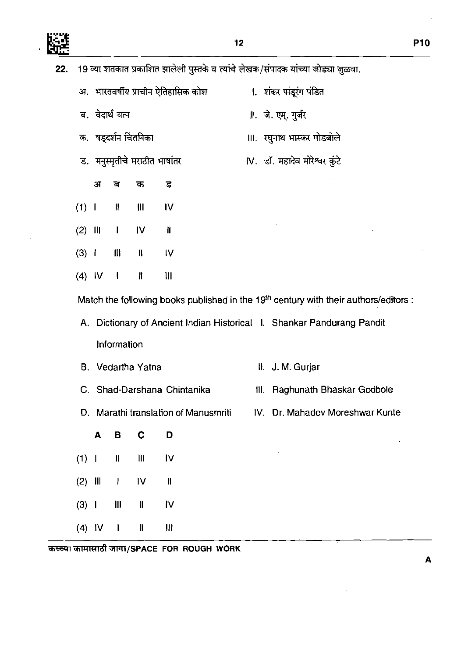髊

 $\ddot{\phantom{0}}$ 

 $\sim$ 

| <b>P10</b> |  |
|------------|--|
|            |  |

 $\bar{z}$ 

 $\overline{\mathbf{A}}$ 

 $\sim 10^7$ 

 $\sim 10$ 

 $\sim$ 

| 22. |           | 19 व्या शतकात प्रकाशित झालेली पुस्तके व त्यांचे लेखक/संपादक यांच्या जोड्या जुळवा. |                                                  |                               |                                                        |  |                                                                                                  |  |  |  |  |  |
|-----|-----------|-----------------------------------------------------------------------------------|--------------------------------------------------|-------------------------------|--------------------------------------------------------|--|--------------------------------------------------------------------------------------------------|--|--|--|--|--|
|     |           |                                                                                   |                                                  |                               | अ.   भारतवर्षीय प्राचीन ऐतिहासिक कोश<br>$\mathbb{R}^3$ |  | ।.  शंकर पांडूरंग पंडित                                                                          |  |  |  |  |  |
|     |           |                                                                                   | ब. वेदार्थ यत्न                                  |                               |                                                        |  | ॥. जे. एम्. गुर्जर                                                                               |  |  |  |  |  |
|     |           |                                                                                   |                                                  | क.  षड्दर्शन चिंतनिका         |                                                        |  | Ⅲ. रघुनाथ भास्कर गोडबोले                                                                         |  |  |  |  |  |
|     |           |                                                                                   |                                                  | ड. मनुस्मृतीचे मराठीत भाषांतर |                                                        |  | IV. डॉ. महादेव मोरेश्वर कुंटे                                                                    |  |  |  |  |  |
|     |           | अ                                                                                 | ৰ                                                | क                             | ड                                                      |  |                                                                                                  |  |  |  |  |  |
|     | (1) 1     |                                                                                   | Ħ                                                | Ш                             | IV                                                     |  |                                                                                                  |  |  |  |  |  |
|     | $(2)$ III |                                                                                   | $\mathbf{I}$                                     | $\mathsf{IV}$                 | ï                                                      |  |                                                                                                  |  |  |  |  |  |
|     | (3) 1     |                                                                                   | $\mathbf{H}$                                     | $\mathbf{I}$                  | IV                                                     |  |                                                                                                  |  |  |  |  |  |
|     |           | $(4)$ IV                                                                          | $\blacksquare$                                   | $\mathbf{I}$                  | III                                                    |  |                                                                                                  |  |  |  |  |  |
|     |           |                                                                                   |                                                  |                               |                                                        |  | Match the following books published in the 19 <sup>th</sup> century with their authors/editors : |  |  |  |  |  |
|     |           |                                                                                   |                                                  |                               |                                                        |  | A. Dictionary of Ancient Indian Historical I. Shankar Pandurang Pandit                           |  |  |  |  |  |
|     |           |                                                                                   | Information                                      |                               |                                                        |  |                                                                                                  |  |  |  |  |  |
|     |           |                                                                                   |                                                  | B. Vedartha Yatna             |                                                        |  | II. J. M. Gurjar                                                                                 |  |  |  |  |  |
|     |           |                                                                                   |                                                  |                               | C. Shad-Darshana Chintanika                            |  | Raghunath Bhaskar Godbole<br>111.                                                                |  |  |  |  |  |
|     |           |                                                                                   |                                                  |                               | D. Marathi translation of Manusmriti                   |  | IV. Dr. Mahadev Moreshwar Kunte                                                                  |  |  |  |  |  |
|     |           | A                                                                                 | В                                                | C                             | D                                                      |  |                                                                                                  |  |  |  |  |  |
|     | (1) 1     |                                                                                   | $\pmb{\parallel}$                                | Ш                             | IV                                                     |  |                                                                                                  |  |  |  |  |  |
|     | $(2)$ III |                                                                                   | $\overline{\phantom{a}}$                         | 1 <sub>V</sub>                | H                                                      |  |                                                                                                  |  |  |  |  |  |
|     | (3) 1     |                                                                                   | $\begin{array}{c} \hline \text{III} \end{array}$ | I                             | IV                                                     |  |                                                                                                  |  |  |  |  |  |
|     | $(4)$ IV  |                                                                                   | $\mathbf I$                                      | Ш                             | Ш                                                      |  |                                                                                                  |  |  |  |  |  |

कच्चा कामासाठी जागा/SPACE FOR ROUGH WORK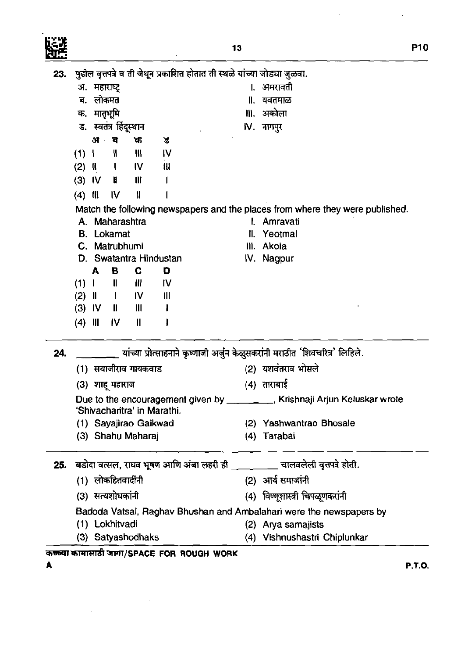**II.** यवतमाळ **III.** अकोला IV. नागपुर

पुढील वृत्तपत्रे व ती जेथून प्रकाशित होतात ती स्थळे यांच्या जोड्या जुळवा.<br>अ. महाराष्ट्र

|     |           |          | ड. स्वतंत्र हिंदूस्थान           |                |                                         |     | IV. नागपुर                                                                      |
|-----|-----------|----------|----------------------------------|----------------|-----------------------------------------|-----|---------------------------------------------------------------------------------|
|     |           | अ        | ब                                | क              | ड                                       |     |                                                                                 |
|     | $(1)$     |          | ₩                                | $\mathbf{M}$   | 1V                                      |     |                                                                                 |
|     |           | $(2)$ II | $\mathbf{I}$                     | IV.            | W                                       |     |                                                                                 |
|     |           |          | $(3)$ IV II                      | $\mathbf{III}$ | I                                       |     |                                                                                 |
|     | $(4)$ III |          | $\mathsf{IV}$                    | H              |                                         |     |                                                                                 |
|     |           |          |                                  |                |                                         |     | Match the following newspapers and the places from where they were published.   |
|     |           |          | A. Maharashtra                   |                |                                         |     | I. Amravati                                                                     |
|     |           |          | <b>B.</b> Lokamat                |                |                                         | II. | Yeotmal                                                                         |
|     |           |          | C. Matrubhumi                    |                |                                         |     | III. Akola                                                                      |
|     |           |          |                                  |                | D. Swatantra Hindustan                  |     | IV. Nagpur                                                                      |
|     |           | A        | B                                | C              | D                                       |     |                                                                                 |
|     |           |          | $(1)$ IIIII                      |                | IV                                      |     |                                                                                 |
|     |           |          | $(2)$ $  $ $  $ $  $ $  $        |                | $\mathbf{III}$                          |     |                                                                                 |
|     |           |          | $(3)$ IV $\parallel$ $\parallel$ |                | Ł                                       |     |                                                                                 |
|     | (4)       | Ш        | - IV                             | $\mathbf{I}$   |                                         |     |                                                                                 |
|     |           |          |                                  |                |                                         |     |                                                                                 |
| 24. |           |          |                                  |                |                                         |     | __ यांच्या प्रोत्साहनाने कृष्णाजी अर्जुन केळुसकरांनी मराठीत 'शिवचरित्र' लिहिले. |
|     |           |          | (1)  सयाजीराव गायकवाड            |                |                                         |     | (2) यशवंतराव भोसले                                                              |
|     |           |          | (3) शाहू महाराज                  |                |                                         |     | (4) ताराबाई                                                                     |
|     |           |          |                                  |                |                                         |     | Due to the encouragement given by ________, Krishnaji Arjun Keluskar wrote      |
|     |           |          |                                  |                | 'Shivacharitra' in Marathi.             |     |                                                                                 |
|     |           |          |                                  |                | (1) Sayajirao Gaikwad                   |     | (2) Yashwantrao Bhosale                                                         |
|     |           |          | (3) Shahu Maharaj                |                |                                         |     | (4) Tarabai                                                                     |
| 25. |           |          |                                  |                | बडोदा वत्सल, राघव भूषण आणि अंबा लहरी ही |     | चालवलेली वृत्तपत्रे होती.                                                       |
|     |           |          |                                  |                |                                         |     |                                                                                 |
|     |           |          | (1) लोकहितवादींनी                |                |                                         |     | (2) आर्य समाजांनी                                                               |
|     |           |          | (3) सत्यशोधकांनी                 |                |                                         |     | (4) विष्णूशास्त्री चिपळूणकरांनी                                                 |
|     |           |          |                                  |                |                                         |     | Badoda Vatsal, Raghav Bhushan and Ambalahari were the newspapers by             |
|     |           |          | (1) Lokhitvadi                   |                |                                         |     | (2) Arya samajists                                                              |
|     |           |          | (3) Satyashodhaks                |                |                                         |     | (4) Vishnushastri Chiplunkar                                                    |

कच्च्या कामासाठी जागा/SPACE FOR ROUGH WORK

23.

ज. महाराष्ट्र ब. लोकमत क. मातृभूमि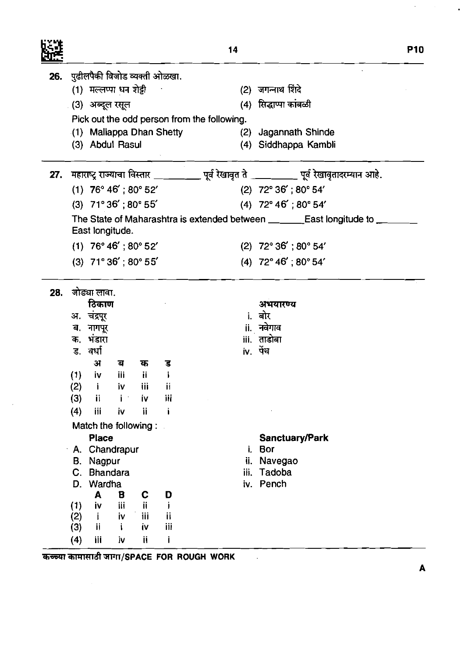|     |     |                          |            |     |                               | 14                                                                                            |                                         | <b>P10</b>                                                                   |
|-----|-----|--------------------------|------------|-----|-------------------------------|-----------------------------------------------------------------------------------------------|-----------------------------------------|------------------------------------------------------------------------------|
| 26. |     |                          |            |     | पुढीलपैकी विजोड व्यक्ती ओळखा. |                                                                                               |                                         |                                                                              |
|     |     | (1) मल्लप्पा धन शेट्टी   |            |     |                               |                                                                                               | (2) जगन्नाथ शिंदे                       |                                                                              |
|     |     | . (3) अब्दूल रसूल        |            |     |                               |                                                                                               | (4) सिद्धाप्पा कांबळी                   |                                                                              |
|     |     |                          |            |     |                               | Pick out the odd person from the following.                                                   |                                         |                                                                              |
|     |     |                          |            |     | (1) Mallappa Dhan Shetty      |                                                                                               | (2) Jagannath Shinde                    |                                                                              |
|     |     | (3) Abdul Rasul          |            |     |                               |                                                                                               | (4) Siddhappa Kambli                    |                                                                              |
| 27. |     |                          |            |     |                               | महाराष्ट्र राज्याचा विस्तार __________ पूर्व रेखावृत ते __________ पूर्व रेखावृतादरम्यान आहे. |                                         |                                                                              |
|     |     | $(1)$ 76° 46'; 80° 52'   |            |     |                               |                                                                                               | (2) $72^{\circ} 36'$ ; $80^{\circ} 54'$ |                                                                              |
|     |     | $(3)$ 71° 36'; 80° 55'   |            |     |                               |                                                                                               | $(4)$ 72° 46'; 80° 54'                  |                                                                              |
|     |     | East longitude.          |            |     |                               |                                                                                               |                                         | The State of Maharashtra is extended between _________East longitude to ____ |
|     |     | $(1)$ 76° 46'; 80° 52'   |            |     |                               |                                                                                               | $(2)$ 72° 36'; 80° 54'                  |                                                                              |
|     |     | $(3)$ 71° 36'; 80° 55'   |            |     |                               |                                                                                               | (4) $72^{\circ}$ 46'; 80 $^{\circ}$ 54' |                                                                              |
|     |     |                          |            |     |                               |                                                                                               |                                         |                                                                              |
| 28. |     | जोड्या लावा.             |            |     |                               |                                                                                               |                                         |                                                                              |
|     |     | ठिकाण                    |            |     |                               |                                                                                               | अभयारण्य                                |                                                                              |
|     |     | अ. चंद्रपूर<br>ब. नागपूर |            |     |                               |                                                                                               | <b>i.</b> बोर<br>ii. नवेगाव             |                                                                              |
|     |     | क. भंडारा                |            |     |                               |                                                                                               | iii. ताडोबा                             |                                                                              |
|     |     | ड. वर्धा                 |            |     |                               |                                                                                               | iv. पेंच                                |                                                                              |
|     |     | अ                        | ਕ          | क   | ड                             |                                                                                               |                                         |                                                                              |
|     | (1) | iv                       | <b>iii</b> | Ϊİ  |                               |                                                                                               |                                         |                                                                              |
|     | (2) | $\mathbf{i}$             | iv         | Ϊij | Ħ                             |                                                                                               |                                         |                                                                              |
|     | (3) | ij                       |            | İ٧  | iii                           |                                                                                               |                                         |                                                                              |
|     | (4) | iii                      | İV.        | ij  |                               |                                                                                               |                                         |                                                                              |
|     |     | Match the following:     |            |     |                               |                                                                                               |                                         |                                                                              |
|     |     | <b>Place</b>             |            |     |                               |                                                                                               | <b>Sanctuary/Park</b>                   |                                                                              |
|     |     | A. Chandrapur            |            |     |                               | i.                                                                                            | <b>Bor</b>                              |                                                                              |
|     | В.  | Nagpur                   |            |     |                               | ij.                                                                                           | Navegao                                 |                                                                              |
|     | C.  | <b>Bhandara</b>          |            |     |                               | iii.                                                                                          | Tadoba                                  |                                                                              |
|     | D.  | Wardha<br>A              | B          | C   | D                             | iv.                                                                                           | Pench                                   |                                                                              |
|     | (1) | İ٧                       | iii        | ii. | L                             |                                                                                               |                                         |                                                                              |
|     | (2) | j.                       | j۷         | Ϊij | ij                            |                                                                                               |                                         |                                                                              |
|     | (3) | ij                       |            | į۷  | iii                           |                                                                                               |                                         |                                                                              |
|     | (4) | iii                      | iv         | ii  | i                             |                                                                                               |                                         |                                                                              |

 $\boldsymbol{\mathsf{A}}$ 

 $\Delta \phi = 1.5$  and

 $\hat{\mathbf{r}}$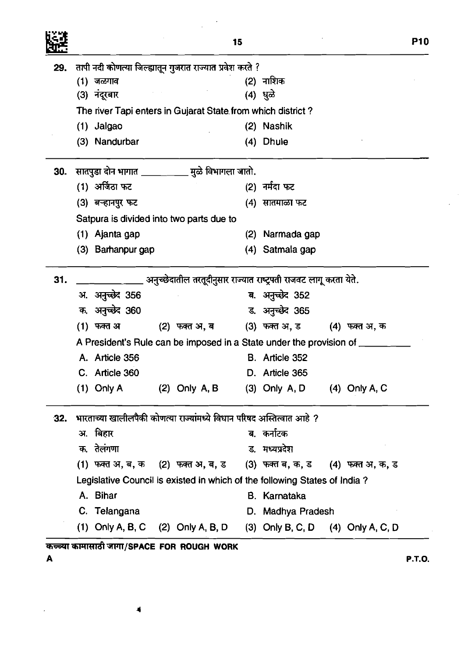|     |                   |                                                                           | 15  |                                     |  |  |
|-----|-------------------|---------------------------------------------------------------------------|-----|-------------------------------------|--|--|
| 29. |                   | तापी नदी कोणत्या जिल्ह्यातून गुजरात राज्यात प्रवेश करते ?                 |     |                                     |  |  |
|     | (1) जळगाव         |                                                                           |     | (2) नाशिक                           |  |  |
|     | (3) नंदूरबार      |                                                                           |     | (4) धुळे                            |  |  |
|     |                   | The river Tapi enters in Gujarat State from which district?               |     |                                     |  |  |
|     | $(1)$ Jalgao      |                                                                           |     | (2) Nashik                          |  |  |
|     | (3) Nandurbar     |                                                                           | (4) | <b>Dhule</b>                        |  |  |
| 30. |                   | सातपुडा दोन भागात ___________ मुळे विभागला जातो.                          |     |                                     |  |  |
|     | (1) अर्जिठा फट    |                                                                           |     | (2) नर्मदा फट                       |  |  |
|     | (3) बऱ्हानपुर फट  |                                                                           | (4) | सातमाळा फट                          |  |  |
|     |                   | Satpura is divided into two parts due to                                  |     |                                     |  |  |
|     | (1) Ajanta gap    |                                                                           | (2) | Narmada gap                         |  |  |
|     | (3) Barhanpur gap |                                                                           |     | (4) Satmala gap                     |  |  |
| 31. |                   | अनुच्छेदातील तरतूदीनुसार राज्यात राष्ट्रपती राजवट लागू करता येते.         |     |                                     |  |  |
|     | अ. अनुच्छेद 356   |                                                                           |     | ब. अनुच्छेद 352                     |  |  |
|     | क. अनुच्छेद 360   |                                                                           |     | ड. अनुच्छेद 365                     |  |  |
|     | (1) फक्त अ        | (2) फक्त अ, ब (3) फक्त अ, ड (4) फक्त अ, क                                 |     |                                     |  |  |
|     |                   | A President's Rule can be imposed in a State under the provision of _     |     |                                     |  |  |
|     | A. Article 356    |                                                                           |     | B. Article 352                      |  |  |
|     | C. Article 360    |                                                                           |     | D. Article 365                      |  |  |
|     | $(1)$ Only A      | $(2)$ Only A, B                                                           |     | $(3)$ Only A, D $(4)$ Only A, C     |  |  |
| 32. |                   | भारताच्या खालीलपैकी कोणत्या राज्यांमध्ये विधान परिषद अस्तित्वात आहे ?     |     |                                     |  |  |
|     | अ. बिहार          |                                                                           |     | ब कर्नाटक                           |  |  |
|     | क. तेलंगणा        |                                                                           |     | ड मध्यप्रदेश                        |  |  |
|     |                   | (1) फक्त अ, ब, क (2) फक्त अ, ब, ड (3) फक्त ब, क, ड (4) फक्त अ, क, ड       |     |                                     |  |  |
|     |                   | Legislative Council is existed in which of the following States of India? |     |                                     |  |  |
|     | A. Bihar          |                                                                           |     | B. Karnataka                        |  |  |
|     | C. Telangana      |                                                                           |     | D. Madhya Pradesh                   |  |  |
|     |                   | (1) Only A, B, C $(2)$ Only A, B, D                                       |     | (3) Only B, C, D $(4)$ Only A, C, D |  |  |

 $\mathcal{A}^{\text{max}}_{\text{max}}$ 

 $\frac{1}{\sqrt{2}}\sum_{i=1}^{n-1}\frac{1}{i} \sum_{j=1}^{n-1} \frac{1}{j} \sum_{j=1}^{n-1} \frac{1}{j} \sum_{j=1}^{n-1} \frac{1}{j} \sum_{j=1}^{n-1} \frac{1}{j} \sum_{j=1}^{n-1} \frac{1}{j} \sum_{j=1}^{n-1} \frac{1}{j} \sum_{j=1}^{n-1} \frac{1}{j} \sum_{j=1}^{n-1} \frac{1}{j} \sum_{j=1}^{n-1} \frac{1}{j} \sum_{j=1}^{n-1} \frac{1}{j} \sum$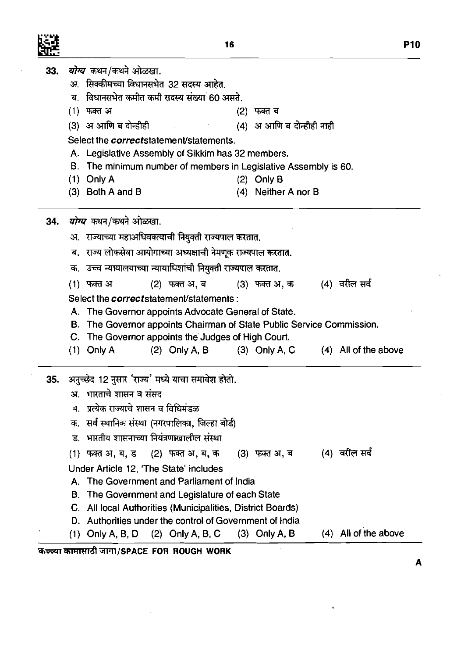33. *योग्य* कथन/कथने ओळखा.

Ķ.

|     |    | अ.  सिक्कीमच्या विधानसभेत 32 सदस्य आहेत.                           |               |                  |     |                           |  |                      |
|-----|----|--------------------------------------------------------------------|---------------|------------------|-----|---------------------------|--|----------------------|
|     | ब. | विधानसभेत कमीत कमी सदस्य संख्या 60 असते.                           |               |                  |     |                           |  |                      |
|     |    | (1) फक्त अ                                                         |               |                  | (2) | फक्त ब                    |  |                      |
|     |    | (3) अ आणि ब दोन्हीही पालि                                          |               |                  |     | (4) अ आणि ब दोन्हीही नाही |  |                      |
|     |    | Select the <i>correct</i> statement/statements.                    |               |                  |     |                           |  |                      |
|     |    | A. Legislative Assembly of Sikkim has 32 members.                  |               |                  |     |                           |  |                      |
|     |    | B. The minimum number of members in Legislative Assembly is 60.    |               |                  |     |                           |  |                      |
|     |    | $(1)$ Only A                                                       |               |                  |     | $(2)$ Only B              |  |                      |
|     |    | $(3)$ Both A and B                                                 |               |                  |     | (4) Neither A nor B       |  |                      |
| 34. |    | <i>योग्य</i> कथन/कथने ओळखा.                                        |               |                  |     |                           |  |                      |
|     |    | अ.  राज्याच्या महाअधिवक्त्याची नियुक्ती राज्यपाल करतात.            |               |                  |     |                           |  |                      |
|     |    | ब. राज्य लोकसेवा आयोगाच्या अध्यक्षाची नेमणूक राज्यपाल करतात.       |               |                  |     |                           |  |                      |
|     |    | क. उच्च न्यायालयाच्या न्यायाधिशांची नियुक्ती राज्यपाल करतात.       |               |                  |     |                           |  |                      |
|     |    | (1) फक्त अ                                                         | (2) फक्त अ, ब |                  |     | (3) फक्त अ, क             |  | (4) वरील सर्व        |
|     |    | Select the <i>correct</i> statement/statements:                    |               |                  |     |                           |  |                      |
|     |    | A. The Governor appoints Advocate General of State.                |               |                  |     |                           |  |                      |
|     | В. | The Governor appoints Chairman of State Public Service Commission. |               |                  |     |                           |  |                      |
|     |    | C. The Governor appoints the Judges of High Court.                 |               |                  |     |                           |  |                      |
|     |    | $(1)$ Only A                                                       |               | $(2)$ Only A, B  |     | $(3)$ Only A, C           |  | (4) All of the above |
|     |    | 35. अनुच्छेद 12 नुसार 'राज्य' मध्ये याचा समावेश होतो.              |               |                  |     |                           |  |                      |
|     |    | अ. भारताचे शासन व संसद                                             |               |                  |     |                           |  |                      |
|     |    | ब. प्रत्येक राज्याचे शासन व विधिमंडळ                               |               |                  |     |                           |  |                      |
|     |    | क. सर्व स्थानिक संस्था (नगरपालिका, जिल्हा बोर्ड)                   |               |                  |     |                           |  |                      |
|     |    | ड. भारतीय शासनाच्या नियंत्रणाखालील संस्था                          |               |                  |     |                           |  |                      |
|     |    | (1) फक्त अ, ब, ड                                                   |               | (2) फक्त अ, ब, क |     | (3) फक्त अ, ब             |  | (4) वरील सर्व        |
|     |    | Under Article 12, 'The State' includes                             |               |                  |     |                           |  |                      |
|     |    | A. The Government and Parliament of India                          |               |                  |     |                           |  |                      |
|     |    |                                                                    |               |                  |     |                           |  |                      |
|     | В. | The Government and Legislature of each State                       |               |                  |     |                           |  |                      |
|     | C. | All local Authorities (Municipalities, District Boards)            |               |                  |     |                           |  |                      |
|     |    | D. Authorities under the control of Government of India            |               |                  |     |                           |  |                      |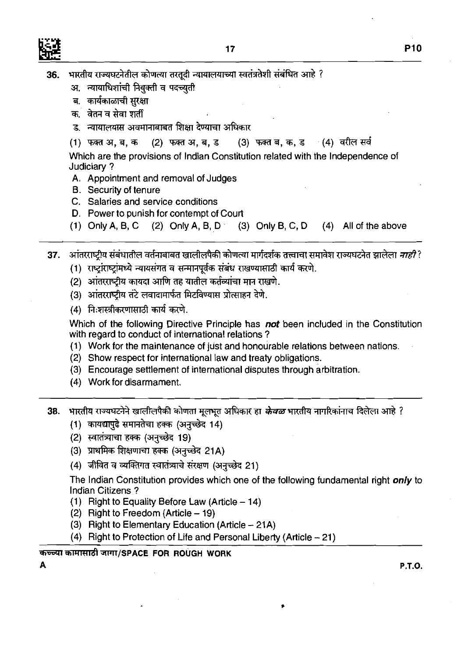

- अ. न्यायाधिशांची नियुक्ती व पदच्युती
- ब. कार्यकाळाची सुरक्षा
- क. वेतन व सेवा शर्ती
- ड. न्यायालयास अवमानाबाबत शिक्षा देण्याचा अधिकार
- (3) फक्त ब, क, ड (4) वरील सर्व (1) फक्त अ, ब, क (2) फक्त अ, ब, ड

Which are the provisions of Indian Constitution related with the Independence of Judiciary ?

- A. Appointment and removal of Judges
- B. Security of tenure
- C. Salaries and service conditions
- D. Power to punish for contempt of Court
- (1) Only A, B, C  $(2)$  Only A, B, D  $(3)$  Only B, C, D  $(4)$  All of the above
- आंतरराष्ट्रीय संबंधातील वर्तनाबाबत खालीलपैकी कोणत्या मार्गदर्शक तत्त्वाचा समावेश राज्यघटनेत झालेला *नाही* ?  $37<sub>1</sub>$ 
	- (1) राष्ट्रांराष्ट्रांमध्ये न्यायसंगत व सन्मानपूर्वक संबंध राखण्यासाठी कार्य करणे.
	- (2) आंतरराष्ट्रीय कायदा आणि तह यातील कर्तव्यांचा मान राखणे.
	- (3) आंतरराष्ट्रीय तंटे लवादामार्फत मिटविण्यास प्रोत्साहन देणे.
	- (4) निःशस्त्रीकरणासाठी कार्य करणे.

Which of the following Directive Principle has **not** been included in the Constitution with regard to conduct of international relations ?

- (1) Work for the maintenance of just and honourable relations between nations.
- (2) Show respect for international law and treaty obligations.
- (3) Encourage settlement of international disputes through arbitration.
- (4) Work for disarmament.
- **38. भारतीय राज्यघटनेने खालीलपैकी कोणता मूलभूत अधिकार हा** *केवळ* **भारतीय नागरिकांनाच दिलेला आहे ?**
- ————————————————<br>भारतीय राज्यघटनेने खालीलपैकी कोणता मूलभूत :<br>(1) कायद्यापुढे समानतेचा हक्क (अनुच्छेद 14)<br>(2) स्वातंत्र्याचा हक्क (अनच्छेद 19)
	- (2) स्वातंत्र्याचा हक्क (अनुच्छेद 19)
	- (3) प्राथमिक शिक्षणाचा हक्क (अनुच्छेद 21A)
	- (4) जीवित व व्यक्तिगत स्वातंत्र्याचे संरक्षण (अनुच्छेद 21)

The lndian Constitution provides which one of the following fundamental right *only* to lndian Citizens ?

- (1) Right to Equality Before Law (Article  $-14$ )
- $(2)$  Right to Freedom (Article  $-19$ )
- (3) Right to Elementary Education (Article  $-21A$ )
- (4) Right to Protection of Life and Personal Liberty (Article  $-21$ )

#### **~~~RTR~~/SPACE FOR ROUGH WORK**

**A P.T.O.**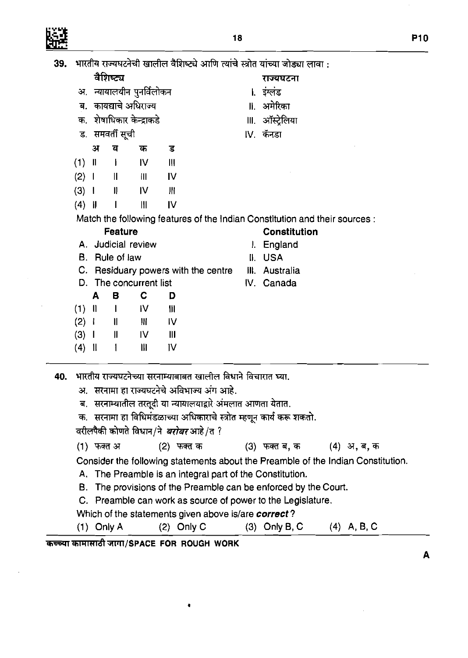$\mathcal{L}_{\mathcal{A}}$ 

39. भारतीय राज्यघटनेची खालील वैशिष्ट्ये आणि त्यांचे स्त्रोत यांच्या जोड्या लावा:

**P10** 

 $\overline{\mathbf{A}}$ 

ł,

|     |                   |              | वैशिष्ट्य                   |                          |                    |                                                                                                                                                                                                                        |    | राज्यघटना                                                                                                                                                                                                                                                                                      |               |  |
|-----|-------------------|--------------|-----------------------------|--------------------------|--------------------|------------------------------------------------------------------------------------------------------------------------------------------------------------------------------------------------------------------------|----|------------------------------------------------------------------------------------------------------------------------------------------------------------------------------------------------------------------------------------------------------------------------------------------------|---------------|--|
|     | अ.                |              |                             | न्यायालयीन पुनर्विलोकन   |                    |                                                                                                                                                                                                                        |    | <b>। इंग्लंड</b>                                                                                                                                                                                                                                                                               |               |  |
|     |                   |              |                             | ब. कायद्याचे अधिराज्य    |                    |                                                                                                                                                                                                                        |    | ॥ अमेरिका                                                                                                                                                                                                                                                                                      |               |  |
|     |                   |              |                             | क. शेषाधिकार केन्द्राकडे |                    |                                                                                                                                                                                                                        |    | Ⅲ. ऑस्ट्रेलिया                                                                                                                                                                                                                                                                                 |               |  |
|     |                   |              | ड.) समवर्ती सूची            |                          |                    |                                                                                                                                                                                                                        |    | IV. कॅनडा                                                                                                                                                                                                                                                                                      |               |  |
|     |                   | अ            | व                           | क                        | ड                  |                                                                                                                                                                                                                        |    |                                                                                                                                                                                                                                                                                                |               |  |
|     | $(1)$ II          |              | $\mathbf{I}$                | IV                       | $\mathbf{III}$     |                                                                                                                                                                                                                        |    |                                                                                                                                                                                                                                                                                                |               |  |
|     | (2) 1             |              | $\parallel$                 | 川                        | IV                 |                                                                                                                                                                                                                        |    |                                                                                                                                                                                                                                                                                                |               |  |
|     | (3) 1             |              | $\mathbf{II}$               | IV                       | Ш                  |                                                                                                                                                                                                                        |    |                                                                                                                                                                                                                                                                                                |               |  |
|     | $(4)$             |              | $\mathbf l$                 | Ш                        | IV                 |                                                                                                                                                                                                                        |    |                                                                                                                                                                                                                                                                                                |               |  |
|     |                   |              |                             |                          |                    |                                                                                                                                                                                                                        |    | Match the following features of the Indian Constitution and their sources :                                                                                                                                                                                                                    |               |  |
|     |                   |              | <b>Feature</b>              |                          |                    |                                                                                                                                                                                                                        |    | <b>Constitution</b>                                                                                                                                                                                                                                                                            |               |  |
|     |                   |              |                             | A. Judicial review       |                    |                                                                                                                                                                                                                        | L. | England                                                                                                                                                                                                                                                                                        |               |  |
|     |                   |              | B. Rule of law              |                          |                    |                                                                                                                                                                                                                        |    | II. USA                                                                                                                                                                                                                                                                                        |               |  |
|     |                   |              |                             |                          |                    | C. Residuary powers with the centre                                                                                                                                                                                    |    | III. Australia                                                                                                                                                                                                                                                                                 |               |  |
|     |                   |              |                             | D. The concurrent list   |                    |                                                                                                                                                                                                                        |    | IV. Canada                                                                                                                                                                                                                                                                                     |               |  |
|     |                   | A            | в                           | C                        | D                  |                                                                                                                                                                                                                        |    |                                                                                                                                                                                                                                                                                                |               |  |
|     | $(1)$ II<br>(2) 1 |              | <b>I</b> IV<br>$\mathbf{I}$ | Ш.                       | $\mathbf{m}$<br>IV |                                                                                                                                                                                                                        |    |                                                                                                                                                                                                                                                                                                |               |  |
|     | $(3)$ 1           |              | $\mathbf{I}$                | IV.                      | $\mathbf{m}$       |                                                                                                                                                                                                                        |    |                                                                                                                                                                                                                                                                                                |               |  |
|     | $(4)$             |              | $\mathbf{1}$                | Ш                        | ١V                 |                                                                                                                                                                                                                        |    |                                                                                                                                                                                                                                                                                                |               |  |
| 40. | ब,<br>क.          |              |                             |                          |                    | भारतीय राज्यघटनेच्या सरनाम्याबाबत खालील विधाने विचारात घ्या.<br>अ. सरनामा हा राज्यघटनेचे अविभाज्य अंग आहे.<br>सरनाम्यातील तरतूदी या न्यायालयाद्वारे अंमलात आणता येतात.<br>वरीलपैकी कोणते विधान/ने <i>बरोबर</i> आहे/त ? |    | सरनामा हा विधिमंडळाच्या अधिकाराचे स्त्रोत म्हणून कार्य करू शकतो.                                                                                                                                                                                                                               |               |  |
|     |                   | (1) फक्त अ   |                             |                          | <u>(2) फक्त क</u>  |                                                                                                                                                                                                                        |    | (3) फक्त ब, क $(4)$ अ, ब, क                                                                                                                                                                                                                                                                    |               |  |
|     | В.                | $(1)$ Only A |                             |                          | $(2)$ Only C       | Which of the statements given above is/are correct?                                                                                                                                                                    |    | Consider the following statements about the Preamble of the Indian Constitution.<br>A. The Preamble is an integral part of the Constitution.<br>The provisions of the Preamble can be enforced by the Court.<br>C. Preamble can work as source of power to the Legislature.<br>$(3)$ Only B, C | $(4)$ A, B, C |  |
|     |                   |              |                             |                          |                    | कच्च्या कामासाठी जागा/SPACE FOR ROUGH WORK                                                                                                                                                                             |    |                                                                                                                                                                                                                                                                                                |               |  |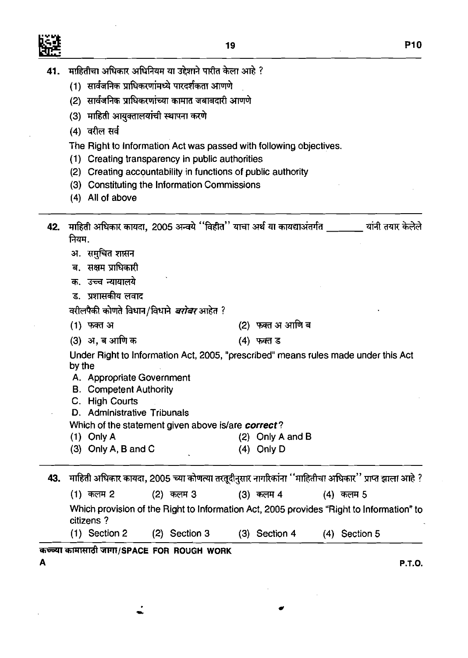

- 41. माहितीचा अधिकार अधिनियम या उद्देशाने पारीत केला आहे ?<br>(1) सार्वजनिक प्राधिकरणांमध्ये पारदर्शकता आणणे
	-
	- (1) सार्वजनिक प्राधिकरणांमध्ये पारदर्शकता आणणे<br>(2) सार्वजनिक प्राधिकरणांच्या कामात जबाबदारी आणणे
	- (2) सार्वजनिक प्राधिकरणां<del>च</del><br>(3) माहिती आयुक्तालयांची<br>(4) वरील सर्व<br>The Right to Informati
	-

The Right to lnformation Act was passed with following objectives.

- (1) Creating transparency in public authorities
- (2) Creating accountability in functions of public authority
- (3) Constituting the lnformation Commissions
- (4) All of above

| 42. माहिती अधिकार कायदा, 2005 अन्वये "विहीत'' याचा अर्थ या कायद्याअंतर्गत [16] | यांनी तयार केलेले |
|--------------------------------------------------------------------------------|-------------------|
| नियम.                                                                          |                   |
| अ. समुचित शासन                                                                 |                   |
| ब.  सक्षम प्राधिकारी                                                           |                   |

- **क. उच्च न्यायालये**
- ड. प्रशासकीय लवाट

वरीलपैकी कोणते विधान/विधाने *बरोबर* आहेत ?

- (2) फक्त अ आणि ब (1) फक्त अ
- (3) अ. ब आणि क

(4) फक्त ड

Under Right to Information Act, 2005, "prescribed" means rules made under this Act by the

- A. Appropriate Government
- B. Competent Authority
- C. High Courts

D. Administrative Tribunals

Which of the statement given above is/are correct?

- (1) Only A (2) Only A and B
- (3) Only A, B and C (4) Only D

43. माहिती अधिकार कायदा, 2005 च्या कोणत्या तरतूदीनुसार नागरिकांना ''माहितीचा अधिकार'' प्राप्त झाला आहे ? (2) कलम 3 (1) कलम 2 (3) कलम 4 (4) कलम 5 Which provision of the Right to lnformation Act, 2005 provides "Right to lnformation" to citizens ?

(1) Section **2** (2) Section 3 (3) Section 4 (4) Section 5

## कच्च्या कामासाठी जागा/SPACE FOR ROUGH WORK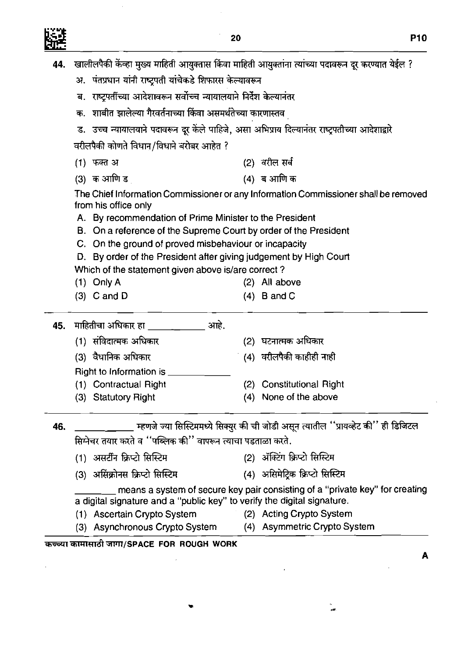Ŷ,

 $\frac{1}{2}$ 

|     |                                                                                                      | 20 | <b>P10</b>                                                                             |
|-----|------------------------------------------------------------------------------------------------------|----|----------------------------------------------------------------------------------------|
| 44. | खालीलपैकी केंव्हा मुख्य माहिती आयुक्तास किंवा माहिती आयुक्तांना त्यांच्या पदावरून दूर करण्यात येईल ? |    |                                                                                        |
|     | अ.  पंतप्रधान यांनी राष्ट्रपती यांचेकडे शिफारस केल्यावरून                                            |    |                                                                                        |
|     | राष्ट्रपतींच्या आदेशावरून सर्वोच्च न्यायालयाने निर्देश केल्यानंतर<br>ब.                              |    |                                                                                        |
|     | शाबीत झालेल्या गैरवर्तनाच्या किंवा असमर्थतेच्या कारणास्तव<br>क.                                      |    |                                                                                        |
|     | ड. उच्च न्यायालयाने पदावरून दूर केले पाहिजे, असा अभिप्राय दिल्यानंतर राष्ट्रपतीच्या आदेशाद्वारे      |    |                                                                                        |
|     | वरीलपैकी कोणते विधान/विधाने बरोबर आहेत ?                                                             |    |                                                                                        |
|     | (1) फक्त अ                                                                                           |    | (2) वरील सर्व                                                                          |
|     | (3) क आणि ड                                                                                          |    | (4) ब आणि क                                                                            |
|     | from his office only<br>A. By recommendation of Prime Minister to the President                      |    | The Chief Information Commissioner or any Information Commissioner shall be removed    |
|     | B. On a reference of the Supreme Court by order of the President                                     |    |                                                                                        |
|     | C. On the ground of proved misbehaviour or incapacity                                                |    |                                                                                        |
|     | D. By order of the President after giving judgement by High Court                                    |    |                                                                                        |
|     | Which of the statement given above is/are correct?<br>$(1)$ Only A                                   |    | (2) All above                                                                          |
|     | $(3)$ C and D                                                                                        |    | $(4)$ B and C                                                                          |
| 45. |                                                                                                      |    |                                                                                        |
|     | (1)  संविदात्मक अधिकार                                                                               |    | (2) घटनात्मक अधिकार                                                                    |
|     | (3) वैधानिक अधिकार                                                                                   |    | (4) वरीलपैकी काहीही नाही                                                               |
|     | Right to Information is                                                                              |    |                                                                                        |
|     | (1) Contractual Right                                                                                |    | (2) Constitutional Right                                                               |
|     | (3) Statutory Right                                                                                  |    | (4) None of the above                                                                  |
| 46. |                                                                                                      |    | _ म्हणजे ज्या सिस्टिममध्ये सिक्युर की ची जोडी असून त्यातील ''प्रायव्हेट की'' ही डिजिटल |
|     | सिमेचर तयार करते व "पब्लिक की" वापरून त्याचा पडताळा करते.                                            |    |                                                                                        |
|     | (1)  असटीन क्रिप्टो सिस्टिम                                                                          |    | (2) ॲक्टिंग क्रिप्टो सिस्टिम                                                           |
|     | (3)  असिंक्रोनस क्रिप्टो सिस्टिम                                                                     |    | (4) असिमेट्रिक क्रिप्टो सिस्टिम                                                        |
|     | a digital signature and a "public key" to verify the digital signature.                              |    | means a system of secure key pair consisting of a "private key" for creating           |
|     | (1) Ascertain Crypto System                                                                          |    | (2) Acting Crypto System                                                               |
|     | (3) Asynchronous Crypto System (4) Asymmetric Crypto System                                          |    |                                                                                        |
|     | कच्च्या कामासाठी जागा/SPACE FOR ROUGH WORK                                                           |    | A                                                                                      |

÷.

s<br>Sa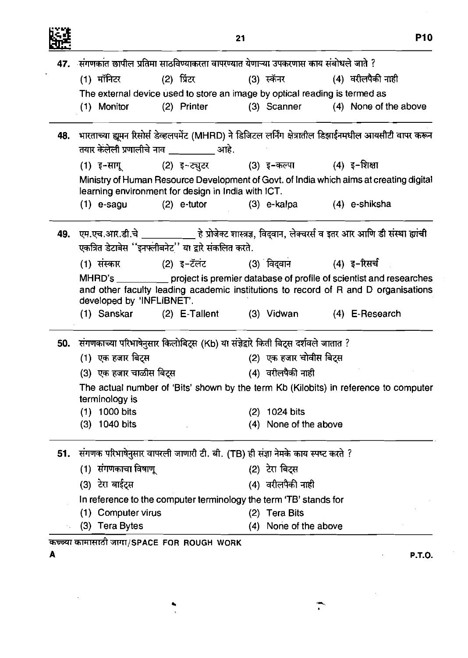

l,

|            |                                                                                                           |                                                         | 21  |                         | <b>P10</b>                                                                                                                                                                   |
|------------|-----------------------------------------------------------------------------------------------------------|---------------------------------------------------------|-----|-------------------------|------------------------------------------------------------------------------------------------------------------------------------------------------------------------------|
|            | 47. संगणकांत छापील प्रतिमा साठविण्याकरता वापरण्यात येणाऱ्या उपकरणास काय संबोधले जाते ?                    |                                                         |     |                         |                                                                                                                                                                              |
|            | (1) मॉनिटर                                                                                                | (2) प्रिंटर                                             |     |                         | (3) स्कॅनर               (4) वरीलपैकी नाही                                                                                                                                   |
|            | The external device used to store an image by optical reading is termed as                                |                                                         |     |                         |                                                                                                                                                                              |
|            | (1) Monitor                                                                                               | (2) Printer                                             |     |                         | (3) Scanner (4) None of the above                                                                                                                                            |
| 48.        | तयार केलेली प्रणालीचे नाव __________ आहे.                                                                 |                                                         |     |                         | भारताच्या ह्यूमन रिसोर्स डेव्हलपमेंट (MHRD) ने डिजिटल लर्निंग क्षेत्रातील डिझाईनमधील आयसीटी वापर करून                                                                        |
|            | (1) इ−सागू (2) इ∼ट्युटर         (3) इ−कल्पा         (4) इ−शिक्षा                                          |                                                         |     |                         |                                                                                                                                                                              |
|            | learning environment for design in India with ICT.                                                        |                                                         |     |                         | Ministry of Human Resource Development of Govt. of India which aims at creating digital                                                                                      |
|            | $(1)$ e-sagu                                                                                              | (2) e-tutor           (3) e-kalpa         (4) e-shiksha |     |                         |                                                                                                                                                                              |
|            |                                                                                                           |                                                         |     |                         | एम.एच.आर.डी.चे ____________ हे प्रोजेक्ट शास्त्रज्ञ, विद्वान, लेक्चरर्स व इतर आर आणि डी संस्था ह्यांची                                                                       |
|            |                                                                                                           |                                                         |     |                         |                                                                                                                                                                              |
|            | एकत्रित डेटाबेस ''इनफ्लीबनेट'' या द्वारे संकलित करते.<br>(1) संस्कार (2) इ-टॅलंट (3) विद्वान (4) इ-रिसर्च |                                                         |     |                         |                                                                                                                                                                              |
|            | developed by 'INFLIBNET'.                                                                                 |                                                         |     |                         | MHRD's ____________ project is premier database of profile of scientist and researches<br>and other faculty leading academic institutions to record of R and D organisations |
|            | (1) Sanskar (2) E-Tallent (3) Vidwan (4) E-Research                                                       |                                                         |     |                         |                                                                                                                                                                              |
|            | संगणकाच्या परिभाषेनुसार किलोबिट्स (Kb) या संज्ञेद्वारे किती बिट्स दर्शवले जातात ?                         |                                                         |     |                         |                                                                                                                                                                              |
|            | (1) एक हजार बिट्स                                                                                         |                                                         |     | (2) एक हजार चोवीस बिट्स |                                                                                                                                                                              |
|            | (3) एक हजार चाळीस बिटस                                                                                    |                                                         |     | (4) वरीलपैकी नाही       |                                                                                                                                                                              |
|            | terminology is                                                                                            |                                                         |     |                         | The actual number of 'Bits' shown by the term Kb (Kilobits) in reference to computer                                                                                         |
|            | $(1)$ 1000 bits                                                                                           |                                                         | (2) | 1024 bits               |                                                                                                                                                                              |
|            | $(3)$ 1040 bits                                                                                           |                                                         |     | (4) None of the above   |                                                                                                                                                                              |
|            | 51. संगणक परिभाषेनुसार वापरली जाणारी टी. बी. (TB) ही संज्ञा नेमके काय स्पष्ट करते ?                       |                                                         |     |                         |                                                                                                                                                                              |
|            | (1) संगणकाचा विषाणू                                                                                       |                                                         |     | (2) टेरा बिट्स          |                                                                                                                                                                              |
| 49.<br>50. | (3) टेरा बाईट्स                                                                                           |                                                         |     | (4) वरीलपैकी नाही       |                                                                                                                                                                              |
|            | In reference to the computer terminology the term 'TB' stands for                                         |                                                         |     |                         |                                                                                                                                                                              |
|            | (1) Computer virus                                                                                        |                                                         |     | (2) Tera Bits           |                                                                                                                                                                              |

T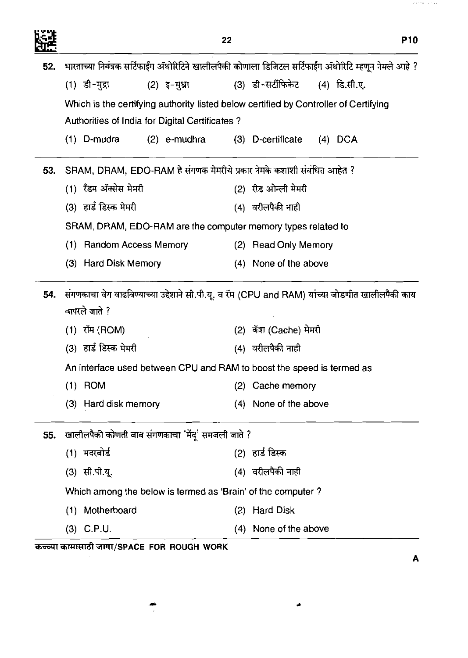$\mathcal{A}$  and  $\mathcal{A}$  is the contract of the  $\mathcal{A}$ 

|     |                                                                        | 22                                                                                                    | <b>P10</b> |
|-----|------------------------------------------------------------------------|-------------------------------------------------------------------------------------------------------|------------|
| 52. |                                                                        | भारताच्या नियंत्रक सर्टिफाईंग ॲथोरिटिने खालीलपैकी कोणाला डिजिटल सर्टिफाईंग ॲथोरिटि म्हणून नेमले आहे ? |            |
|     | (1) डी-मुद्रा<br>$(2)$ इ-मुध्रा                                        | (3) डी-सर्टीफिकेट   (4) डि.सी.ए.                                                                      |            |
|     |                                                                        | Which is the certifying authority listed below certified by Controller of Certifying                  |            |
|     | Authorities of India for Digital Certificates?                         |                                                                                                       |            |
|     | $(1)$ D-mudra                                                          | (2) e-mudhra (3) D-certificate<br>$(4)$ DCA                                                           |            |
| 53. | SRAM, DRAM, EDO-RAM हे संगणक मेमरीचे प्रकार नेमके कशाशी संबंधित आहेत ? |                                                                                                       |            |
|     | (1) रँडम ॲक्सेस मेमरी                                                  | (2) रीड ओन्ली मेमरी                                                                                   |            |
|     | (3) हार्ड डिस्क मेमरी                                                  | (4) वरीलपैकी नाही                                                                                     |            |
|     | SRAM, DRAM, EDO-RAM are the computer memory types related to           |                                                                                                       |            |
|     | <b>Random Access Memory</b><br>(1)                                     | (2) Read Only Memory                                                                                  |            |
|     | (3) Hard Disk Memory                                                   | (4) None of the above                                                                                 |            |
| 54. | वापरले जाते ?                                                          | संगणकाचा वेग वाढविण्याच्या उद्देशाने सी.पी.यू. व रॅम (CPU and RAM) यांच्या जोडणीत खालीलपैकी काय       |            |
|     | (1) रॉम (ROM)                                                          | (2) कॅश (Cache) मेमरी                                                                                 |            |
|     | (3) हार्ड डिस्क मेमरी                                                  | (4) वरीलपैकी नाही                                                                                     |            |
|     | An interface used between CPU and RAM to boost the speed is termed as  |                                                                                                       |            |
|     | $(1)$ ROM                                                              | Cache memory<br>(2)                                                                                   |            |
|     | (3) Hard disk memory                                                   | None of the above<br>(4)                                                                              |            |
| 55. | खालीलपैकी कोणती बाब संगणकाचा 'मेंदू' समजली जाते ?                      |                                                                                                       |            |
|     | (1) मदरबोर्ड                                                           | (2) हार्ड डिस्क                                                                                       |            |
|     | (3) सी.पी.यू.                                                          | (4) वरीलपैकी नाही                                                                                     |            |
|     | Which among the below is termed as 'Brain' of the computer?            |                                                                                                       |            |
|     | (1) Motherboard                                                        | <b>Hard Disk</b><br>(2)                                                                               |            |
|     | $(3)$ C.P.U.                                                           | None of the above<br>(4)                                                                              |            |
|     | कच्च्या कामासाठी जागा/SPACE FOR ROUGH WORK                             |                                                                                                       |            |
|     |                                                                        |                                                                                                       | Α          |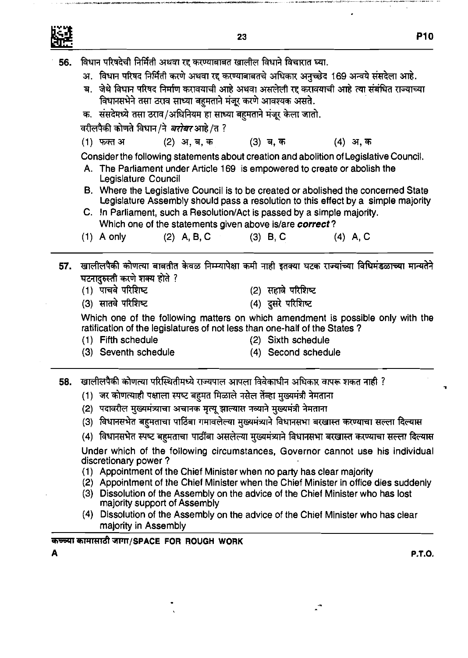

विधान परिषदेची निर्मिती अथवा रद्द करण्याबाबत खालील विधाने विचारात घ्या. 56.

- अ. विधान परिषद निर्मिती करणे अथवा रद्द करण्याबाबतचे अधिकार अनुच्छेद 169 अन्वये संसदेला आहे.
- ब. जेथे विधान परिषद निर्माण करावयाची आहे अथवा असलेली रद्द करावयाची आहे त्या संबंधित राज्याच्या विधानसभेने तसा ठराव साध्या बहुमताने मंजूर करणे आवश्यक असते.
- क. संसदेमध्ये तसा ठराव/अधिनियम हा साध्या बहमताने मंजूर केला जातो.

वरीलपैकी कोणते विधान/ने *बरोबर* आहे/त ?

(1) फक्त अ (2) अ, ब, क (4) अ.क (3) ब, क

Consider the following statements about creation and abolition of Legislative Council.

- A. The Parliament under Article 169 is empowered to create or abolish the Legislature Council
- B. Where the Legislative Council is to be created or abolished the concerned State Legislature Assembly should pass a resolution to this effect by a simple majority
- C. In Parliament, such a Resolution/Act is passed by a simple majority. Which one of the statements given above islare **correct?**
- (1) A only (2) A, B, C (3) B, C (4) A, C
- खालीलपैकी कोणत्या बाबतीत केवळ निम्म्यापेक्षा कमी नाही इतक्या घटक राज्यांच्या विधिमंडळाच्या मान्यतेने  $57.$ घटनादरुस्ती करणे शक्य होते ?
	- (1) पाचवे परिशिष्ट
- (2) सहावे परिशिष्ट
- (3) सातवे परिशिष्ट
- (4) दुसरे परिशिष्ट

Which one of the following matters on which amendment is possible only with the ratification of the legislatures of not less than one-half of the States ?

(1) Fifth schedule (2) Sixth schedule

- 
- (3) Seventh schedule (4) Second schedule
	-

**58. खालीलपैकी कोणत्या परिस्थितीमध्ये** राज्यपाल आपला विवेकाधीन अधिकार वापरू शकत नाही ?

- (1) जर कोणत्याही पक्षाला स्पष्ट बहुमत मिळाले नसेल तेंव्हा मुख्यमंत्री नेमताना
- (2) पदावरील मुख्यमंत्र्याचा अचानक मृत्यू झाल्यास नव्याने मुख्यमंत्री नेमताना
- 
- (3) विधानसभेत बहुमताचा पाठिंबा गमावलेल्या मुख्यमंत्र्याने विधानसभा बरखास्त करण्याचा सल्ला दिल्यास<br>(4) विधानसभेत स्पष्ट बहुमताचा पाठींबा असलेल्या मुख्यमंत्र्याने विधानसभा बरखास्त करण्याचा सल्ला दिल्यास

Under which of the following circumstances, Governor cannot use his individual discretionary power ?

- (1) Appointment of the Chief Minister when no party has clear majority
- (2) Appointment of the Chief Minister when the Chief Minister in office dies suddenly
- (3) Dissolution of the Assembly on the advice of the Chief Minister who has lost majority support of Assembly
- (4) Dissolution of the Assembly on the advice of the Chief Minister who has clear majority in Assembly

क<del>च्च्</del>या कामासाठी जागा/SPACE FOR ROUGH WORK

**A P.T.O.**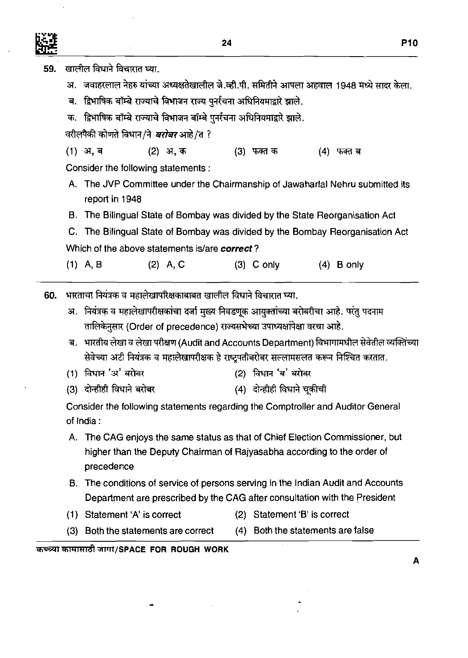

 $\bar{z}$ 

 $\sim$   $\pm$ 

 $\bar{\mathcal{A}}$ 

| ar. |     |                                                                                               |            |                                                                                         |     |                                   |                          |              |  |
|-----|-----|-----------------------------------------------------------------------------------------------|------------|-----------------------------------------------------------------------------------------|-----|-----------------------------------|--------------------------|--------------|--|
| 59. |     | खालील विधाने विचारात घ्या.                                                                    |            |                                                                                         |     |                                   |                          |              |  |
|     | अ.  | जवाहरलाल नेहरु यांच्या अध्यक्षतेखालील जे.व्ही.पी. समितीने आपला अहवाल 1948 मध्ये सादर केला.    |            |                                                                                         |     |                                   |                          |              |  |
|     | ब.  | द्रिभाषिक बॉम्बे राज्याचे विभाजन राज्य पुनर्रचना अधिनियमाद्वारे झाले.                         |            |                                                                                         |     |                                   |                          |              |  |
|     |     | क.   द्विभाषिक बॉम्बे राज्याचे विभाजन बॉम्बे पुर्नाचना अधिनियमाद्वारे झाले.                   |            |                                                                                         |     |                                   |                          |              |  |
|     |     | वरीलपैकी कोणते विधान/ने <i>बरोबर</i> आहे/त ?                                                  |            |                                                                                         |     |                                   |                          |              |  |
|     |     | $(1)$ अ, ब                                                                                    | (2) अ.क    |                                                                                         |     | (3) फक्त क                        |                          | (4) फक्त ब   |  |
|     |     | Consider the following statements:                                                            |            |                                                                                         |     |                                   |                          |              |  |
|     |     | A. The JVP Committee under the Chairmanship of Jawaharlal Nehru submitted its                 |            |                                                                                         |     |                                   |                          |              |  |
|     |     | report in 1948                                                                                |            |                                                                                         |     |                                   |                          |              |  |
|     | В.  | The Bilingual State of Bombay was divided by the State Reorganisation Act                     |            |                                                                                         |     |                                   |                          |              |  |
|     |     | C. The Bilingual State of Bombay was divided by the Bombay Reorganisation Act                 |            |                                                                                         |     |                                   |                          |              |  |
|     |     | Which of the above statements is/are correct?                                                 |            |                                                                                         |     |                                   |                          |              |  |
|     |     | $(1)$ A, B                                                                                    | $(2)$ A, C |                                                                                         |     | $(3)$ C only                      |                          | $(4)$ B only |  |
| 60. |     | भारताचा नियंत्रक व महालेखापरिक्षकाबाबत खालील विधाने विचारात घ्या.                             |            |                                                                                         |     |                                   |                          |              |  |
|     |     | अ.  नियंत्रक व महालेखापरीक्षकांचा दर्जा मुख्य निवडणूक आयुक्तांच्या बरोबरीचा आहे. परंतु पदनाम  |            |                                                                                         |     |                                   |                          |              |  |
|     |     |                                                                                               |            | तालिकेनुसार (Order of precedence) राज्यसभेच्या उपाध्यक्षांपेक्षा वरचा आहे.              |     |                                   |                          |              |  |
|     |     | ब. भारतीय लेखा व लेखा परीक्षण (Audit and Accounts Department) विभागामधील सेवेतील व्यक्तिंच्या |            |                                                                                         |     |                                   |                          |              |  |
|     |     |                                                                                               |            | सेवेच्या अटी नियंत्रक व महालेखापरीक्षक हे राष्ट्रपतीबरोबर सल्लामसलत करून निश्चित करतात. |     |                                   |                          |              |  |
|     |     | (1) विधान 'अ' बरोबर                                                                           |            |                                                                                         | (2) | विधान 'ब' बरोबर                   |                          |              |  |
|     |     | (3) दोन्हीही विधाने बरोबर                                                                     |            |                                                                                         |     | (4) दोन्हीही विधाने चूकीची        |                          |              |  |
|     |     | Consider the following statements regarding the Comptroller and Auditor General               |            |                                                                                         |     |                                   |                          |              |  |
|     |     | of India:                                                                                     |            |                                                                                         |     |                                   |                          |              |  |
|     | А.  | The CAG enjoys the same status as that of Chief Election Commissioner, but                    |            |                                                                                         |     |                                   |                          |              |  |
|     |     | precedence                                                                                    |            | higher than the Deputy Chairman of Rajyasabha according to the order of                 |     |                                   |                          |              |  |
|     | В.  | The conditions of service of persons serving in the Indian Audit and Accounts                 |            |                                                                                         |     |                                   |                          |              |  |
|     |     |                                                                                               |            | Department are prescribed by the CAG after consultation with the President              |     |                                   |                          |              |  |
|     | (1) | Statement 'A' is correct                                                                      |            |                                                                                         | (2) |                                   | Statement 'B' is correct |              |  |
|     | (3) | Both the statements are correct                                                               |            |                                                                                         |     | (4) Both the statements are false |                          |              |  |
|     |     |                                                                                               |            |                                                                                         |     |                                   |                          |              |  |

 $\mathcal{F}_\mathrm{c}$ 

 $\frac{1}{2}$ 

कच्च्या कामासाठी जागा/SPACE FOR ROUGH WORK

 $\bullet\hspace{-1.4mm}\bullet$ 

 $\mathcal{F}^{\mathcal{G}}_{\mathcal{G}}$ 

A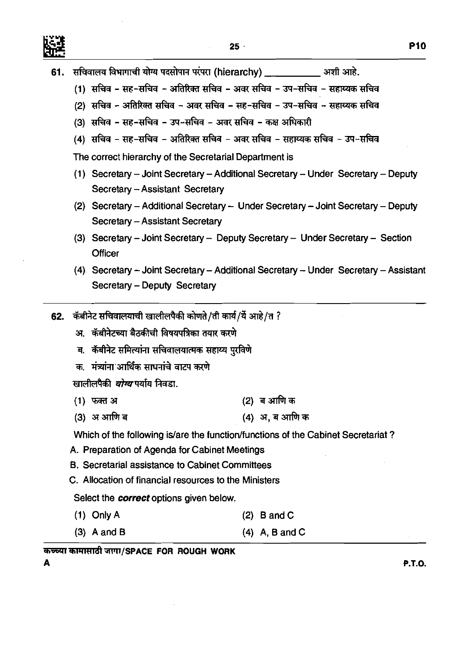

- **61.** सचिवालय विभागाची योग्य पदसोपान परंपरा (hierarchy) व्याली अर्था आहे.
	- (1) सचिव सह-सचिव अतिरिक्त सचिव अवर सचिव उप-सचिव सहाय्यक सचिव
	- <u>(2) सचिव अतिरिक्त सचिव अवर सचिव सह-सचिव उप-सचिव सहाय्यक सचिव</u>
	- <u>(3) सचिव सह-सचिव उप-सचिव अवर सचिव कक्ष अधिकारी</u>
	- <u>(4) सचिव सह-सचिव अतिरिक्त सचिव अवर सचिव सहाय्यक सचिव उप-सचिव</u>

The correct hierarchy of the Secretarial Department is

- **(1)** Secretary Joint Secretary -Additional Secretary Under Secretary Deputy Secretary - Assistant Secretary
- **(2)** Secretary Additional Secretary Under Secretary Joint Secretary Deputy Secretary - Assistant Secretary
- **(3)** Secretary Joint Secretary Deputy Secretary Under Secretary Section **Officer**
- **(4)** Secretary Joint Secretary Additional Secretary Under Secretary Assistant Secretary - Deputy Secretary
- **62.** कॅबीनेट सचिवालयाची खालीलपैकी कोणते/ती कार्य/यें आहे/त ?
	- अ. कॅबीनेटच्या बैठकीची विषयपत्रिका तयार करणे
	- ब. कॅबीनेट समित्यांना सचिवालयात्मक सहाय्य पुरविणे
	- क. मंत्र्यांना आर्थिक साधनांचे वाटप करणे

खालीलपैकी *योग्य* पर्याय निवडा.

- **(1)** ma3 **(2)** q3T&\*
- **(3)** sr\*q **(4)** 37,q3T&~

Which of the following is/are the function/functions of the Cabinet Secretariat?

- A. Preparation of Agenda for Cabinet Meetings
- B. Secretarial assistance to Cabinet Committees
- C. Allocation of financial resources to the Ministers

Select the **correct** options given below.

- (1) Only A **(2)** Band C
- **(3)** A and B **(4)** A, B and C

कच्च्या कामासाठी जागा/SPACE FOR ROUGH WORK

**P.T.O.**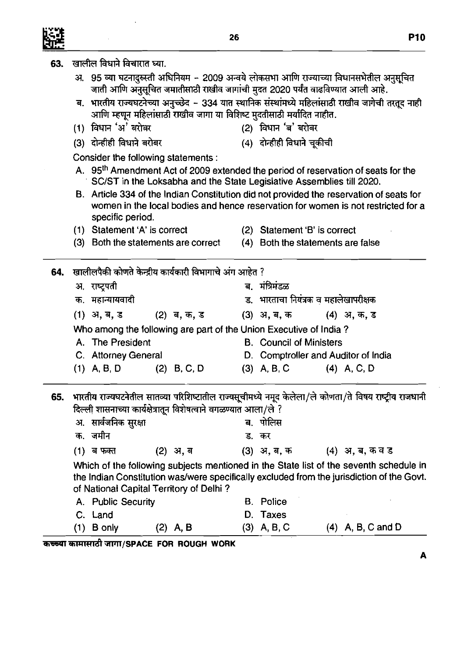| 63. | खालील विधाने विचारात घ्या.                                                                                                                                                                       |                                      |                                     |
|-----|--------------------------------------------------------------------------------------------------------------------------------------------------------------------------------------------------|--------------------------------------|-------------------------------------|
|     | अ. 95 व्या घटनादुरुस्ती अधिनियम - 2009 अन्वये लोकसभा आणि राज्याच्या विधानसभेतील अनुसूचित<br>जाती आणि अनुसूचित जमातीसाठी राखीव जागांची मुदत 2020 पर्यंत वाढविण्यात आली आहे.                       |                                      |                                     |
|     | ब. भारतीय राज्यघटनेच्या अनुच्छेद - 334 यात स्थानिक संस्थांमध्ये महिलांसाठी राखीव जागेची तरतूद नाही<br>आणि म्हणून महिलांसाठी राखीव जागा या विशिष्ट मुदतीसाठी मर्यादित नाहीत.                      |                                      |                                     |
|     | (1) विधान 'अ' बरोबर                                                                                                                                                                              | (2) विधान 'ब' बरोबर                  |                                     |
|     | दोन्हीही विधाने बरोबर<br>(3)                                                                                                                                                                     | (4) दोन्हीही विधाने चूकीची           |                                     |
|     | Consider the following statements :                                                                                                                                                              |                                      |                                     |
|     | A. 95 <sup>th</sup> Amendment Act of 2009 extended the period of reservation of seats for the<br>SC/ST in the Loksabha and the State Legislative Assemblies till 2020.                           |                                      |                                     |
|     | B. Article 334 of the Indian Constitution did not provided the reservation of seats for<br>women in the local bodies and hence reservation for women is not restricted for a<br>specific period. |                                      |                                     |
|     | (1) Statement 'A' is correct                                                                                                                                                                     | Statement 'B' is correct             |                                     |
|     | Both the statements are correct<br>(3)                                                                                                                                                           | (4)                                  | Both the statements are false       |
|     | 64. खालीलपैकी कोणते केन्द्रीय कार्यकारी विभागाचे अंग आहेत ?                                                                                                                                      |                                      |                                     |
|     | अ, राष्ट्रपती                                                                                                                                                                                    | ब. मंत्रिमंडळ                        |                                     |
|     | क. महान्यायवादी                                                                                                                                                                                  | ड. भारताचा नियंत्रक व महालेखापरीक्षक |                                     |
|     | (1) अ, ब, ड<br>(2) ब, क, ड                                                                                                                                                                       | (3) अ, ब, क                          | (4) अ. क, ड                         |
|     | Who among the following are part of the Union Executive of India?                                                                                                                                |                                      |                                     |
|     | A. The President                                                                                                                                                                                 | <b>B.</b> Council of Ministers       |                                     |
|     | C. Attorney General                                                                                                                                                                              |                                      | D. Comptroller and Auditor of India |
|     | $(1)$ A, B, D<br>$(2)$ B, C, D                                                                                                                                                                   | $(3)$ A, B, C                        | $(4)$ A, C, D                       |
| 65. | भारतीय राज्यघटनेतील सातव्या परिशिष्टातील राज्यसूचीमध्ये नमूद केलेला/ले कोणता/ते विषय राष्ट्रीय राजधानी<br>दिल्ली शासनाच्या कार्यक्षेत्रातून विशेषत्वाने वगळण्यात आला/ले ?                        |                                      |                                     |
|     | अ.  सार्वजनिक सुरक्षा                                                                                                                                                                            | पोलिस<br>ब.                          |                                     |
|     | जमीन<br>क.                                                                                                                                                                                       | ड.<br>कर                             |                                     |
|     | ब फक्त<br>(2) अ, ब<br>(1)                                                                                                                                                                        | (3) अ. ब. क                          | (4) अ, ब, कवड                       |
|     | Which of the following subjects mentioned in the State list of the seventh schedule in                                                                                                           |                                      |                                     |
|     | the Indian Constitution was/were specifically excluded from the jurisdiction of the Govt.<br>of National Capital Territory of Delhi?                                                             |                                      |                                     |
|     | A. Public Security                                                                                                                                                                               | <b>B.</b> Police                     |                                     |
|     | C. Land                                                                                                                                                                                          | D.<br>Taxes                          |                                     |
|     | B only<br>(1)<br>$(2)$ A, B                                                                                                                                                                      | $(3)$ A, B, C                        | $(4)$ A, B, C and D                 |

**A** 

 $\ddot{\phantom{a}}$ 

 $\hat{\mathcal{A}}$ 

髊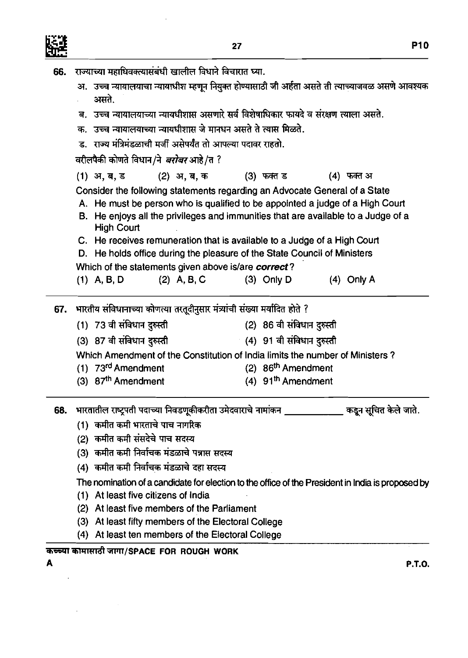

 $\hat{\mathcal{A}}$ 

i,

| 66. | राज्याच्या महाधिवक्त्यासंबंधी खालील विधाने विचारात घ्या.                                                                                                                                                                                                                                                                                          |                                  |                       |  |  |  |  |  |  |  |  |
|-----|---------------------------------------------------------------------------------------------------------------------------------------------------------------------------------------------------------------------------------------------------------------------------------------------------------------------------------------------------|----------------------------------|-----------------------|--|--|--|--|--|--|--|--|
|     | अ.  उच्च न्यायालयाचा न्यायाधीश म्हणून नियुक्त होण्यासाठी जी अर्हता असते ती त्याच्याजवळ असणे आवश्यक<br>असते.<br>ब. उच्च न्यायालयाच्या न्यायधीशास असणारे सर्व विशेषाधिकार फायदे व संरक्षण त्याला असते.                                                                                                                                              |                                  |                       |  |  |  |  |  |  |  |  |
|     |                                                                                                                                                                                                                                                                                                                                                   |                                  |                       |  |  |  |  |  |  |  |  |
|     | क. उच्च न्यायालयाच्या न्यायधीशास जे मानधन असते ते त्यास मिळते.                                                                                                                                                                                                                                                                                    |                                  |                       |  |  |  |  |  |  |  |  |
|     | ड. राज्य मंत्रिमंडळाची मर्जी असेपर्यंत तो आपल्या पदावर राहतो.                                                                                                                                                                                                                                                                                     |                                  |                       |  |  |  |  |  |  |  |  |
|     | वरीलपैकी कोणते विधान/ने <i>बरोबर</i> आहे/त ?                                                                                                                                                                                                                                                                                                      |                                  |                       |  |  |  |  |  |  |  |  |
|     | $(1)$ अ, ब, ड<br>(2) अ.ब.क                                                                                                                                                                                                                                                                                                                        | (3) फक्त ड                       | (4) फक्त अ            |  |  |  |  |  |  |  |  |
|     | Consider the following statements regarding an Advocate General of a State<br>A. He must be person who is qualified to be appointed a judge of a High Court<br>B. He enjoys all the privileges and immunities that are available to a Judge of a<br><b>High Court</b><br>C. He receives remuneration that is available to a Judge of a High Court |                                  |                       |  |  |  |  |  |  |  |  |
|     | D. He holds office during the pleasure of the State Council of Ministers                                                                                                                                                                                                                                                                          |                                  |                       |  |  |  |  |  |  |  |  |
|     | Which of the statements given above is/are correct?                                                                                                                                                                                                                                                                                               |                                  |                       |  |  |  |  |  |  |  |  |
|     | $(2)$ A, B, C<br>$(1)$ A, B, D                                                                                                                                                                                                                                                                                                                    | $(3)$ Only D                     | $(4)$ Only A          |  |  |  |  |  |  |  |  |
| 67. | भारतीय संविधानाच्या कोणत्या तरतूदीनुसार मंत्र्यांची संख्या मर्यादित होते ?                                                                                                                                                                                                                                                                        |                                  |                       |  |  |  |  |  |  |  |  |
|     | (1) 73 वी संविधान दुरुस्ती                                                                                                                                                                                                                                                                                                                        | (2) 86 वी संविधान दुरुस्ती       |                       |  |  |  |  |  |  |  |  |
|     | (3) 87 वी संविधान दुरुस्ती                                                                                                                                                                                                                                                                                                                        | - (4) 91 वी संविधान दुरुस्ती     |                       |  |  |  |  |  |  |  |  |
|     | Which Amendment of the Constitution of India limits the number of Ministers?                                                                                                                                                                                                                                                                      |                                  |                       |  |  |  |  |  |  |  |  |
|     | $(1)$ 73 <sup>rd</sup> Amendment                                                                                                                                                                                                                                                                                                                  | (2) 86 <sup>th</sup> Amendment   |                       |  |  |  |  |  |  |  |  |
|     | (3) 87 <sup>th</sup> Amendment                                                                                                                                                                                                                                                                                                                    | $(4)$ 91 <sup>th</sup> Amendment |                       |  |  |  |  |  |  |  |  |
| 68. | भारतातील राष्ट्रपती पदाच्या निवडणूकीकरीता उमेदवाराचे नामांकन                                                                                                                                                                                                                                                                                      |                                  | कडून सुचित केले जाते. |  |  |  |  |  |  |  |  |
|     | (1)  कमीत कमी भारताचे पाच नागरिक                                                                                                                                                                                                                                                                                                                  |                                  |                       |  |  |  |  |  |  |  |  |
|     | कमीत कमी संसदेचे पाच सदस्य<br>(2)                                                                                                                                                                                                                                                                                                                 |                                  |                       |  |  |  |  |  |  |  |  |
|     | (3)  कमीत कमी निर्वाचक मंडळाचे पन्नास सदस्य                                                                                                                                                                                                                                                                                                       |                                  |                       |  |  |  |  |  |  |  |  |
|     | (4) कमीत कमी निर्वाचक मंडळाचे दहा सदस्य                                                                                                                                                                                                                                                                                                           |                                  |                       |  |  |  |  |  |  |  |  |
|     | The nomination of a candidate for election to the office of the President in India is proposed by                                                                                                                                                                                                                                                 |                                  |                       |  |  |  |  |  |  |  |  |
|     | (1) At least five citizens of India                                                                                                                                                                                                                                                                                                               |                                  |                       |  |  |  |  |  |  |  |  |
|     | At least five members of the Parliament<br>(2)                                                                                                                                                                                                                                                                                                    |                                  |                       |  |  |  |  |  |  |  |  |
|     | At least fifty members of the Electoral College<br>(3)                                                                                                                                                                                                                                                                                            |                                  |                       |  |  |  |  |  |  |  |  |
|     | At least ten members of the Electoral College<br>(4)                                                                                                                                                                                                                                                                                              |                                  |                       |  |  |  |  |  |  |  |  |
|     | कच्च्या कामासाठी जागा/SPACE FOR ROUGH WORK                                                                                                                                                                                                                                                                                                        |                                  |                       |  |  |  |  |  |  |  |  |
|     |                                                                                                                                                                                                                                                                                                                                                   |                                  | <b>P.T.O.</b>         |  |  |  |  |  |  |  |  |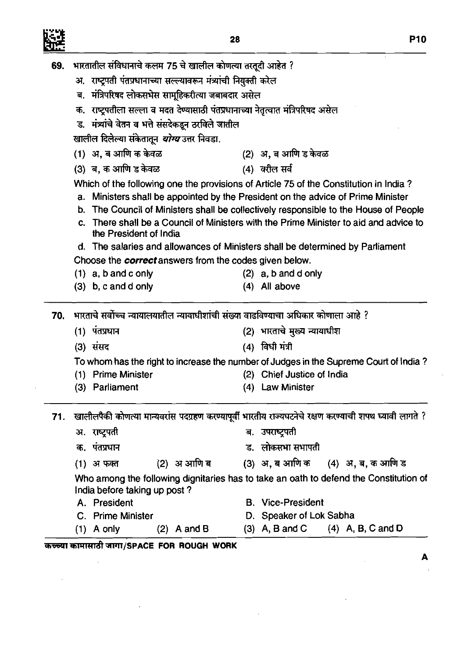$\hat{\boldsymbol{\beta}}$ 

L,

 $\bar{\mathcal{A}}$ 

|     | 69. भारतातील संविधानाचे कलम 75 चे खालील कोणत्या तरतूदी आहेत ?                      |                                                                                                            |  |  |  |  |  |  |  |  |
|-----|------------------------------------------------------------------------------------|------------------------------------------------------------------------------------------------------------|--|--|--|--|--|--|--|--|
|     | अ. राष्ट्रपती पंतप्रधानाच्या सल्ल्यावरून मंत्र्यांची नियुक्ती करेल                 |                                                                                                            |  |  |  |  |  |  |  |  |
|     | ब. मंत्रिपरिषद लोकसभेस सामूहिकरीत्या जबाबदार असेल                                  |                                                                                                            |  |  |  |  |  |  |  |  |
|     | क. राष्ट्रपतीला सल्ला व मदत देण्यासाठी पंतप्रधानाच्या नेतृत्वात मंत्रिपरिषद असेल   |                                                                                                            |  |  |  |  |  |  |  |  |
|     | ड. मंत्र्यांचे वेतन व भत्ते संसदेकडून ठरविले जातील                                 |                                                                                                            |  |  |  |  |  |  |  |  |
|     | खालील दिलेल्या संकेतातून <i>योग्य</i> उत्तर निवडा.                                 |                                                                                                            |  |  |  |  |  |  |  |  |
|     | (1) अ, ब आणि क केवळ                                                                | (2) अ, ब आणि ड केवळ                                                                                        |  |  |  |  |  |  |  |  |
|     | (3) ब, क आणि ड केवळ                                                                | (4) वरील सर्व                                                                                              |  |  |  |  |  |  |  |  |
|     |                                                                                    | Which of the following one the provisions of Article 75 of the Constitution in India?                      |  |  |  |  |  |  |  |  |
|     |                                                                                    | a. Ministers shall be appointed by the President on the advice of Prime Minister                           |  |  |  |  |  |  |  |  |
|     |                                                                                    | b. The Council of Ministers shall be collectively responsible to the House of People                       |  |  |  |  |  |  |  |  |
|     | С.<br>the President of India                                                       | There shall be a Council of Ministers with the Prime Minister to aid and advice to                         |  |  |  |  |  |  |  |  |
|     |                                                                                    | d. The salaries and allowances of Ministers shall be determined by Parliament                              |  |  |  |  |  |  |  |  |
|     | Choose the <b>correct</b> answers from the codes given below.                      |                                                                                                            |  |  |  |  |  |  |  |  |
|     | $(1)$ a, b and c only                                                              | $(2)$ a, b and d only                                                                                      |  |  |  |  |  |  |  |  |
|     | $(3)$ b, c and d only                                                              | $(4)$ All above                                                                                            |  |  |  |  |  |  |  |  |
| 70. | भारताचे सर्वोच्च न्यायालयातील न्यायाधीशांची संख्या वाढविण्याचा अधिकार कोणाला आहे ? |                                                                                                            |  |  |  |  |  |  |  |  |
|     | (1) पंतप्रधान                                                                      | (2) भारताचे मुख्य न्यायाधीश                                                                                |  |  |  |  |  |  |  |  |
|     | (3) संसद                                                                           | (4) विधी मंत्री                                                                                            |  |  |  |  |  |  |  |  |
|     |                                                                                    | To whom has the right to increase the number of Judges in the Supreme Court of India?                      |  |  |  |  |  |  |  |  |
|     | (1) Prime Minister                                                                 | (2) Chief Justice of India                                                                                 |  |  |  |  |  |  |  |  |
|     | (3) Parliament                                                                     | (4) Law Minister                                                                                           |  |  |  |  |  |  |  |  |
|     |                                                                                    | 71. खालीलपैकी कोणत्या मान्यवरांस पदग्रहण करण्यापूर्वी भारतीय राज्यघटनेचे रक्षण करण्याची शपथ घ्यावी लागते ? |  |  |  |  |  |  |  |  |
|     | अ. राष्ट्रपती                                                                      | ब. उपराष्ट्रपती                                                                                            |  |  |  |  |  |  |  |  |
|     | क. पंतप्रधान                                                                       | ड. लोकसभा सभापती                                                                                           |  |  |  |  |  |  |  |  |
|     |                                                                                    | (2) अआणि ब $(3)$ अ, ब आणि क $(4)$ अ, ब, क आणि ड                                                            |  |  |  |  |  |  |  |  |
|     | (1) अफक्त                                                                          |                                                                                                            |  |  |  |  |  |  |  |  |
|     | India before taking up post?                                                       | Who among the following dignitaries has to take an oath to defend the Constitution of                      |  |  |  |  |  |  |  |  |
|     | A. President                                                                       | <b>B.</b> Vice-President                                                                                   |  |  |  |  |  |  |  |  |
|     | C. Prime Minister                                                                  | D. Speaker of Lok Sabha                                                                                    |  |  |  |  |  |  |  |  |
|     |                                                                                    | (3) A, B and C $(4)$ A, B, C and D                                                                         |  |  |  |  |  |  |  |  |
|     | $(2)$ A and B<br>$(1)$ A only                                                      |                                                                                                            |  |  |  |  |  |  |  |  |

 $\sim$ 

 $\blacktriangle$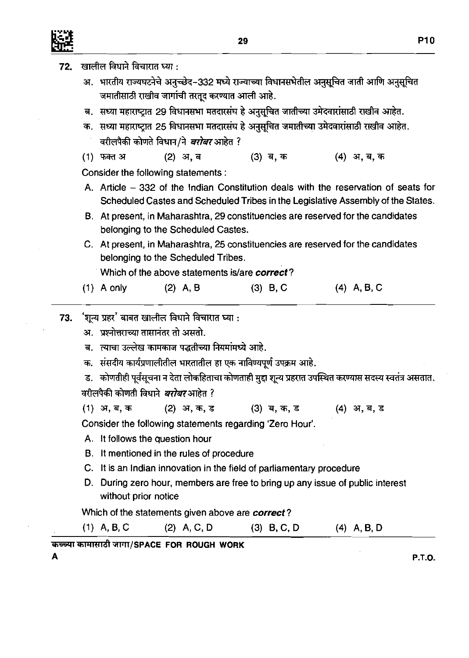72.

खालील विधाने विचारात घ्या :

**A** 

अ. भारतीय राज्यघटनेचे अनुच्छेद-332 मध्ये राज्याच्या विधानसभेतील अनुसूचित जाती आणि अनुसूचित जमातीसाठी राखीव जागांची तरतूद करण्यात आली आहे. ब. सध्या महाराष्ट्रात 29 विधानसभा मतदारसंघ हे अनुसुचित जातीच्या उमेदवारांसाठी राखीव आहेत. क. सध्या महाराष्ट्रात 25 विधानसभा मतदारसंघ हे अनुसूचित जमातीच्या उमेदवारांसाठी राखीव आहेत. वरीलपैकी कोणते विधान/ने *बरोबर* आहेत ? (1) फक्त अ (2) अ. ब (3) ब, क (4) अ. ब. क Consider the following statements : A. Article - 332 of the Indian Constitution deals with the reservation of seats for Scheduled Castes and Scheduled Tribes in the Legislative Assembly of the States. B. At present, in Maharashtra, 29 constituencies are resewed for the candidates belonging to the Scheduled Castes. C. At present, in Maharashtra, 25 constituencies are resewed for the candidates belonging to the Scheduled Tribes. Which of the above statements islare *correct?*  1) A only (2) A, B (3) B, C (4) A, B, C (1) A only (2) A, B (3) 8, c (4) A, B, C 73. 'शून्य प्रहर' बाबत खालील विधाने विचारात घ्या : अ. प्रश्नोत्तराच्या तासानंतर तो असतो. <u>ब. त्याचा उल्लेख कामकाज पद्धतीच्या नियमांमध्ये आहे.</u> क. संसदीय कार्यप्रणालीतील भारतातील हा एक नाविण्यपूर्ण उपक्रम आहे. ड. कोणतीही पूर्वसूचना न देता लोकहिताचा कोणताही मुद्दा शून्य प्रहरात उपस्थित करण्यास सदस्य स्वतंत्र असतात. वरीलपैकी कोणती विधाने *बरोबर* आहेत ? (1) **q,q,7fi (2) 3, -9 3** (3) **q, 7fi7 3** (4) **q,q, 3**  Consider the following statements regarding 'Zero Hour'. A. It follows the question hour B. It mentioned in the rules of procedure C. It is an Indian innovation in the field of parliamentary procedure D. During zero hour, members are free to bring up any issue of public interest without prior notice Which of the statements given above are *correct?*  (1) A, B.C (2) A, C, D (3) **B,** C, D (4) A, **B,** D **~&~~~T/sPAcE FOR ROUGH WORK P.T.O.**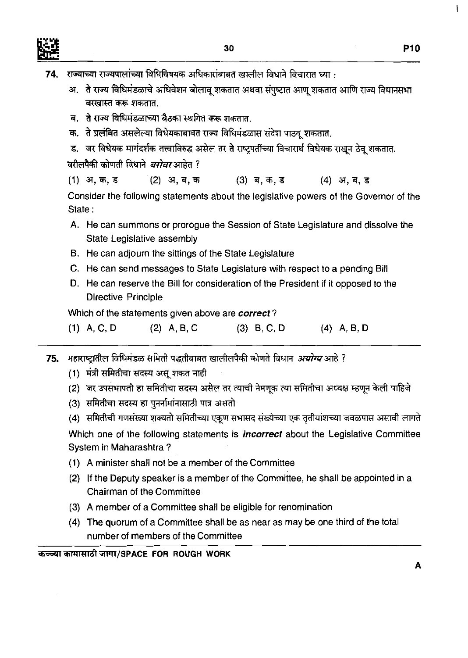

- राज्याच्या राज्यपालांच्या विधिविषयक अधिकारांबाबत खालील विधाने विचारात घ्या : 74.
	- अ. ते राज्य विधिमंडळाचे अधिवेशन बोलावू शकतात अथवा संपुष्टात आणू शकतात आणि राज्य विधानसभा बरखास्त करू शकतात.
	- ब. ते राज्य विधिमंडळाच्या बैठका स्थगित करू शकतात.
	- क. ते प्रलंबित असलेल्या विधेयकाबाबत राज्य विधिमंडळास संदेश पाठवू शकतात.
	- ड. जर विधेयक मार्गदर्शक तत्त्वाविरुद्ध असेल तर ते राष्ट्रपर्तीच्या विचारार्थ विधेयक राखून ठेवू शकतात.

वरीलपैकी कोणती विधाने *बरोबर* आहेत ?

(1) अ, क, ड (2) अ. ब. क  $(3)$  ब, क, ड (4) अ.ब.ड

Consider the following statements about the legislative powers of the Governor of the State :

- A. He can summons or prorogue the Session of State Legislature and dissolve the State Legislative assembly
- B. He can adjourn the sittings of the State Legislature
- C. He can send messages to State Legislature with respect to a pending Bill
- D. He can reserve the Bill for consideration of the President if it opposed to the Directive Principle

Which of the statements given above are **correct?** 

| $(1)$ A, C, D | $(2)$ A, B, C | $(3)$ B, C, D | $(4)$ A, B, D |
|---------------|---------------|---------------|---------------|
|               |               |               |               |

ामहाराष्ट्रातील विधिमंडळ समिती पद्धतीबाबत खालीलपैकी कोणते विधान *अयोग्य* आहे ? 75.

- (1) मंत्री समितीचा सदस्य असू शकत नाही
- (2) जर उपसभापती हा समितीचा सदस्य असेल तर त्याची नेमणूक त्या समितीचा अध्यक्ष म्हणून केली पाहिजे
- (3) समितीचा सदस्य हा पुनर्नामांनासाठी पात्र असतो
- (4)) समितीची गणसंख्या शक्यतो समितीच्या एकूण सभासद संख्येच्या एक तृतीयांशच्या जवळपास असावी लागते

Which one of the following statements is **incorrect** about the Legislative Committee System in Maharashtra ?

- **(1) A** minister shall not be a member of the Committee
- **(2)** If the Deputy speaker is a member of the Committee, he shall be appointed in a Chairman of the Committee
- (3) A member of a Committee shall be eligible for renomination
- **(4)** The quorum of a Committee shall be as near as may be one third of the total number of members of the Committee

कच्च्या कामासाठी जागा/SPACE FOR ROUGH WORK

 $\mathbf{I}$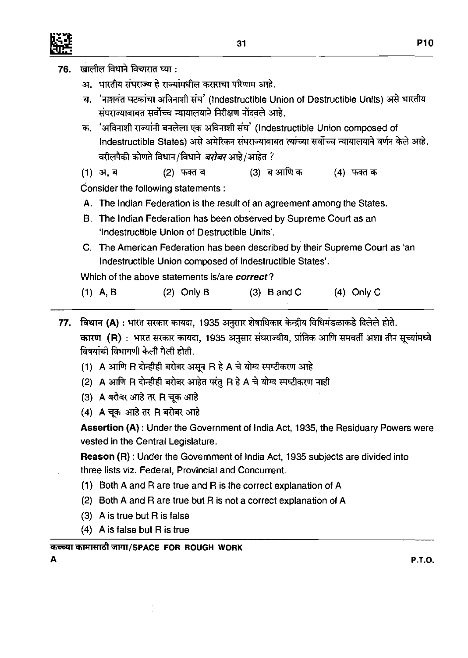- खालील विधाने विचारात घ्या : 76.
	- अ. भारतीय संघराज्य हे राज्यांमधील कराराचा परिणाम आहे.
	- ब. 'नाशवंत घटकांचा अविनाशी संघ' (Indestructible Union of Destructible Units) असे भारतीय संघराज्याबाबत सर्वोच्च न्यायालयाने निरीक्षण नोंदवले आहे.
	- **3.** 'm d FdFn **&Rl?fIa** (lndestructible Union composed of 'नाशवंत घटकांचा अविनाशी संघ' (Indestructible Union of Destructible Units) असे भारतीय<br>संघराज्याबाबत सर्वोच्च न्यायालयाने निरीक्षण नोंदवले आहे.<br>'अविनाशी राज्यांनी बनलेला एक अविनाशी संघ' (Indestructible Union composed of<br>Ind Indestructible States) असे अमेरिकन संघराज्याबार<br>वरीलपैकी कोणते विधान/विधाने *बरोबर* आहे/आहेत ?

(2) फक्त ब (1) अ, ब (4) फक्त क

Consider the following statements

- A. The Indian Federation is the result of an agreement among the States.
- B. The Indian Federation has been observed by Supreme Court as an 'Indestructible Union of Destructible Units'.
- C. The American Federation has been described by their Supreme Court as 'an lndestructible Union composed of lndestructible States'.

Which of the above statements is/are correct?

- (1) A, B (2) Only B (3) B and C (4) Only C
- विधान (A) : भारत सरकार कायदा, 1935 अनुसार शेषाधिकार केन्द्रीय विधिमंडळाकडे दिलेले होते. 77. कारण (R): भारत सरकार कायदा, 1935 अनुसार संघराज्यीय, प्रांतिक आणि समवर्ती अशा तीन सूच्यांमध्ये विषयांची विभागणी केली गेली होती.
	- (1) A आणि R दोन्हीही बरोबर असून R हे A चे योग्य स्पष्टीकरण आहे
	- (2) A आणि R दोन्हीही बरोबर आहेत परंतु R हे A चे योग्य स्पष्टीकरण नाही
	- (3) A बरोबर आहे तर R चुक आहे
	- (4) A चूक आहे तर R बरोबर आहे

**Assertion (A)** : Under the Government of lndia Act, 1935, the Residuary Powers were vested in the Central Legislature.

**Reason (R)** : Under the Government of lndia Act, 1935 subjects are divided into three lists viz. Federal, Provincial and Concurrent.

- (1) Both A and R are true and R is the correct explanation of A
- (2) Both A and R are true but R is not a correct explanation of A
- (3) A is true but R is false
- (4) A is false but R is true

~=~~F~&~ISPACE **FOR ROUGH WORK** 

**A P.T.O.**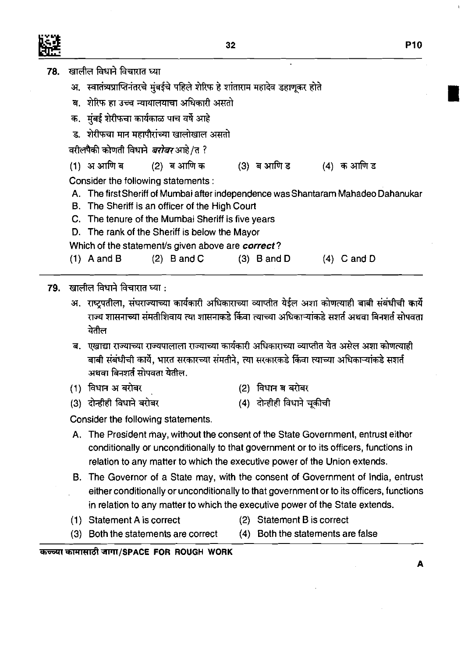- 78. खालील विधाने विचारात घ्या
	- अ. स्वातंत्र्यप्राप्तिनंतरचे मुंबईचे पहिले शेरिफ हे शांताराम महादेव डहाणूकर होते
	- ब. शेरिफ हा उच्च न्यायालयाचा अधिकारी असतो
	- क. मंबई शेरीफचा कार्यकाळ पाच वर्षे आहे
	- ड. शेरीफचा मान महापौरांच्या खालोखाल असतो

वरीलपैकी कोणती विधाने *बरोबर* आहे /त ?

(2) ब आणि क (1) अआणि ब (3) ब आणि ड (4) क आणि ड

Consider the following statements :

- A. The first Sheriff of Mumbai after independence was Shantaram Mahadeo Dahanukar
- B. The Sheriff is an officer of the High Court
- C. The tenure of the Murnbai Sheriff is five years
- D. The rank of the Sheriff is below the Mayor
- Which of the statement/s given above are correct?
- (1) A and B (2) B and C (3) B and D (4) C and D

खालील विधाने विचारात घ्या : 79.

- अ. राष्ट्रपतीला, संघराज्याच्या कार्यकारी अधिकाराच्या व्याप्तीत येईल अशा कोणत्याही बाबी संबंधीची कार्ये राज्य शासनाच्या संमतीशिवाय त्या शासनाकडे किंवा त्याच्या अधिकाऱ्यांकडे सशर्त अथवा बिनशर्त सोपवता येतील
- ब. एखाद्या राज्याच्या राज्यपालाला राज्याच्या कार्यकारी अधिकाराच्या व्याप्तीत येत असेल अशा कोणत्याही बाबी संबंधीची कार्ये. भारत सरकारच्या संमतीने. त्या सरकारकडे किंवा त्याच्या अधिकाऱ्यांकडे सशर्त अथवा बिनशर्त सोपवता येतील.
- (1) विधान अबरोबर (2) विधान ब बरोबर
- (3) दोन्हीही विधाने बरोबर (4) दोन्हीही विधाने चुकीची

Consider the following statements.

- A. The President may, without the consent of the State Government, entrust either conditionally or unconditionally to that government or to its officers, functions in relation to any matter to which the executive power of the Union extends.
- B. The Governor of a State may, with the consent of Government of India, entrust either conditionally or unconditionally to that government or to its officers, functions in relation to any matter to which the executive power of the State extends.
- (1) Statement A is correct (2) Statement B is correct
- (3) Both the statements are correct (4) Both the statements are false

क<del>ल्</del>च्या कामासाठी जागा/SPACE FOR ROUGH WORK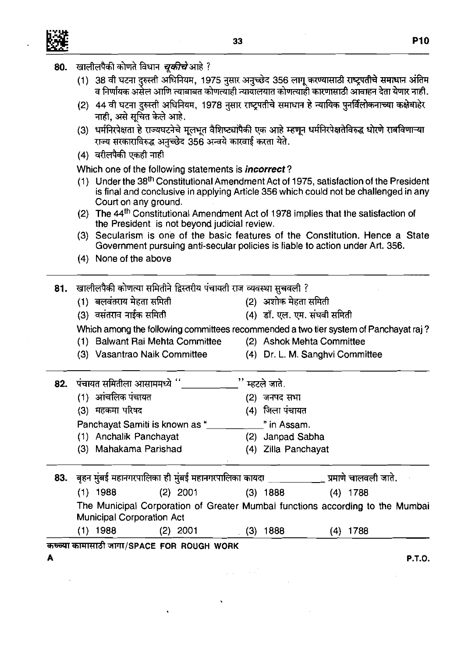

80.

खालीलपैकी कोणते विधान *चूकीचे* आहे ?

|     |                                                                                                                                       |                                                                                                                                                                             |  | (1)  38 वी घटना दुरुस्ती अधिनियम, 1975 नुसार अनुच्छेद 356 लागू करण्यासाठी राष्ट्रपतीचे समाधान अंतिम<br>व निर्णायक असेल आणि त्याबाबत कोणत्याही न्यायालयात कोणत्याही कारणासाठी आवाहन देता येणार नाही. |  |  |  |  |  |  |  |  |
|-----|---------------------------------------------------------------------------------------------------------------------------------------|-----------------------------------------------------------------------------------------------------------------------------------------------------------------------------|--|-----------------------------------------------------------------------------------------------------------------------------------------------------------------------------------------------------|--|--|--|--|--|--|--|--|
|     | (2)  44 वी घटना दुरुस्ती अधिनियम, 1978 नुसार राष्ट्र्पतीचे समाधान हे न्यायिक पुनर्विलोकनाच्या कक्षेबाहेर<br>नाही, असे सूचित केले आहे. |                                                                                                                                                                             |  |                                                                                                                                                                                                     |  |  |  |  |  |  |  |  |
|     |                                                                                                                                       | (3) धर्मनिरपेक्षता हे राज्यघटनेचे मूलभूत वैशिष्ट्यांपैकी एक आहे म्हणून धर्मनिरपेक्षतेविरुद्ध धोरणे राबविणाऱ्या<br>राज्य सरकाराविरुद्ध अनुच्छेद 356 अन्वये कारवाई करता येते. |  |                                                                                                                                                                                                     |  |  |  |  |  |  |  |  |
|     | (4) वरीलपैकी एकही नाही                                                                                                                |                                                                                                                                                                             |  |                                                                                                                                                                                                     |  |  |  |  |  |  |  |  |
|     |                                                                                                                                       | Which one of the following statements is <i>incorrect</i> ?                                                                                                                 |  |                                                                                                                                                                                                     |  |  |  |  |  |  |  |  |
|     |                                                                                                                                       | Court on any ground.                                                                                                                                                        |  | (1) Under the 38 <sup>th</sup> Constitutional Amendment Act of 1975, satisfaction of the President<br>is final and conclusive in applying Article 356 which could not be challenged in any          |  |  |  |  |  |  |  |  |
|     |                                                                                                                                       | the President is not beyond judicial review.                                                                                                                                |  | (2) The 44 <sup>th</sup> Constitutional Amendment Act of 1978 implies that the satisfaction of                                                                                                      |  |  |  |  |  |  |  |  |
|     |                                                                                                                                       | Government pursuing anti-secular policies is liable to action under Art. 356.                                                                                               |  | (3) Secularism is one of the basic features of the Constitution. Hence a State                                                                                                                      |  |  |  |  |  |  |  |  |
|     |                                                                                                                                       | (4) None of the above                                                                                                                                                       |  |                                                                                                                                                                                                     |  |  |  |  |  |  |  |  |
| 81. |                                                                                                                                       | खालीलपैकी कोणत्या समितीने द्विस्तरीय पंचायती राज व्यवस्था सुचवली ?                                                                                                          |  |                                                                                                                                                                                                     |  |  |  |  |  |  |  |  |
|     |                                                                                                                                       | (1) बलवंतराय मेहता समिती                                                                                                                                                    |  | (2) अशोक मेहता समिती                                                                                                                                                                                |  |  |  |  |  |  |  |  |
|     |                                                                                                                                       | (3) वसंतराव नाईक समिती                                                                                                                                                      |  | (4) डॉ. एल. एम. संघवी समिती                                                                                                                                                                         |  |  |  |  |  |  |  |  |
|     |                                                                                                                                       |                                                                                                                                                                             |  | Which among the following committees recommended a two tier system of Panchayat raj?                                                                                                                |  |  |  |  |  |  |  |  |
|     |                                                                                                                                       | (1) Balwant Rai Mehta Committee                                                                                                                                             |  | (2) Ashok Mehta Committee                                                                                                                                                                           |  |  |  |  |  |  |  |  |
|     |                                                                                                                                       | (3) Vasantrao Naik Committee                                                                                                                                                |  | (4) Dr. L. M. Sanghvi Committee                                                                                                                                                                     |  |  |  |  |  |  |  |  |
| 82. |                                                                                                                                       | पंचायत समितीला आसाममध्ये ''                                                                                                                                                 |  | $"$ म्हटले जाते.                                                                                                                                                                                    |  |  |  |  |  |  |  |  |
|     |                                                                                                                                       | (1) आंचलिक पंचायत                                                                                                                                                           |  | (2) जनपद सभा                                                                                                                                                                                        |  |  |  |  |  |  |  |  |
|     |                                                                                                                                       |                                                                                                                                                                             |  |                                                                                                                                                                                                     |  |  |  |  |  |  |  |  |
|     |                                                                                                                                       | (3) महकमा परिषद                                                                                                                                                             |  | (4) जिला पंचायत                                                                                                                                                                                     |  |  |  |  |  |  |  |  |
|     |                                                                                                                                       | Panchayat Samiti is known as "                                                                                                                                              |  | " in Assam.                                                                                                                                                                                         |  |  |  |  |  |  |  |  |
|     |                                                                                                                                       | (1) Anchalik Panchayat<br>(3) Mahakama Parishad                                                                                                                             |  | (2) Janpad Sabha<br>(4) Zilla Panchayat                                                                                                                                                             |  |  |  |  |  |  |  |  |

| 83. |                                  | बृहन मुंबई महानगरपालिका ही मुंबई महानगरपालिका कायदा |              | प्रमाणे चालवली जाते.                                                          |  |
|-----|----------------------------------|-----------------------------------------------------|--------------|-------------------------------------------------------------------------------|--|
|     | $(1)$ 1988                       | (2) 2001                                            | (3).<br>1888 | $(4)$ 1788                                                                    |  |
|     | <b>Municipal Corporation Act</b> |                                                     |              | The Municipal Corporation of Greater Mumbai functions according to the Mumbai |  |
|     | 1988                             | 2001                                                | 1888<br>3)   | (4) 1788                                                                      |  |

 $\label{eq:2.1} \frac{1}{2} \left( \frac{1}{2} \right) \left( \frac{1}{2} \right) \left( \frac{1}{2} \right) \left( \frac{1}{2} \right) \left( \frac{1}{2} \right)$ 

कच्च्या कामासाठी जागा/SPACE FOR ROUGH WORK

**A P.T.O.** 

- 
- 
- 
- 
-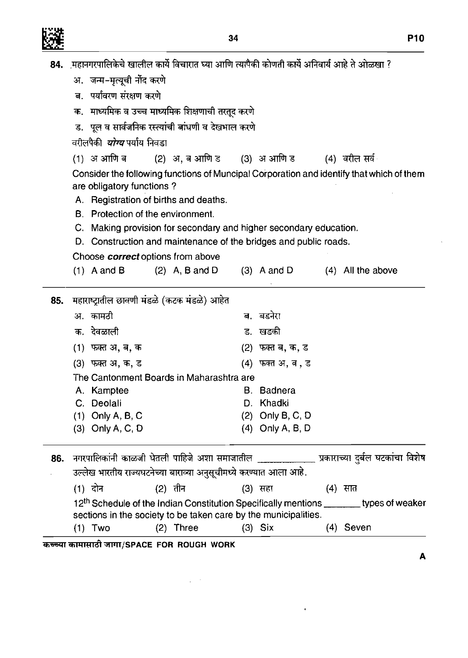|--|

|     |                                    | 84. ़महानगरपालिकेचे खालील कार्ये विचारात घ्या आणि त्यांपैकी कोणती कार्ये अनिवार्य आहे ते ओळखा ?      |         |                         |           |   |
|-----|------------------------------------|------------------------------------------------------------------------------------------------------|---------|-------------------------|-----------|---|
|     | अ. जन्म-मृत्यूची नोंद करणे         |                                                                                                      |         |                         |           |   |
|     | ब. पर्यावरण संरक्षण करणे           |                                                                                                      |         |                         |           |   |
|     |                                    | क.   माध्यमिक व उच्च माध्यमिक शिक्षणाची तरतूद करणे                                                   |         |                         |           |   |
|     |                                    | ड. पूल व सार्वजनिक रस्त्यांची बांधणी व देखभाल करणे                                                   |         |                         |           |   |
|     | वरीलपैकी <i>योग्य</i> पर्याय निवडा |                                                                                                      |         |                         |           |   |
|     |                                    | (1) अं आणि ब (2) अ, ब आणि ड (3) अं आणि ड (4) वरील सर्व <sub>ं</sub>                                  |         |                         |           |   |
|     |                                    | Consider the following functions of Muncipal Corporation and identify that which of them             |         |                         |           |   |
|     | are obligatory functions?          |                                                                                                      |         |                         |           |   |
|     |                                    | A. Registration of births and deaths.                                                                |         |                         |           |   |
|     |                                    | B. Protection of the environment.                                                                    |         |                         |           |   |
|     |                                    | C. Making provision for secondary and higher secondary education.                                    |         |                         |           |   |
|     |                                    | D. Construction and maintenance of the bridges and public roads.                                     |         |                         |           |   |
|     |                                    | Choose <i>correct</i> options from above                                                             |         |                         |           |   |
|     | $(1)$ A and B                      | (2) A, B and D $(3)$ A and D $(4)$ All the above                                                     |         |                         |           |   |
| 85. |                                    | महाराष्ट्रातील छावणी मंडळे (कटक मंडळे) आहेत                                                          |         |                         |           |   |
|     | अ. कामठी                           |                                                                                                      |         | ब. बडनेरा               |           |   |
|     | क. देवळाली                         |                                                                                                      |         | ड. खडकी                 |           |   |
|     | (1) फक्त अ, ब, क                   |                                                                                                      |         | (2) फक्त ब, क, <b>ड</b> |           |   |
|     | (3) फक्त अ, क, ड                   |                                                                                                      |         | (4) फक्त अ, ब , ड       |           |   |
|     |                                    | The Cantonment Boards in Maharashtra are                                                             |         |                         |           |   |
|     | A. Kamptee                         |                                                                                                      | В.      | <b>Badnera</b>          |           |   |
|     | C.<br>Deolali                      |                                                                                                      | Đ.      | Khadki                  |           |   |
|     | $(1)$ Only A, B, C                 |                                                                                                      |         | (2) Only B, C, D        |           |   |
|     | (3) Only A, C, D                   |                                                                                                      |         | (4) Only A, B, D        |           |   |
| 86. |                                    | नगरपालिकांनी काळजी घेतली पाहिजे अशा समाजातील _______________ प्रकाराच्या दुर्बल घटकांचा विशेष        |         |                         |           |   |
|     |                                    | उल्लेख भारतीय राज्यघटनेच्या बाराव्या अनुसूचीमध्ये करण्यात आला आहे.                                   |         |                         |           |   |
|     | $(1)$ दोन                          | $(2)$ तीन                                                                                            | (3) सहा |                         | (4) सात   |   |
|     |                                    | 12 <sup>th</sup> Schedule of the Indian Constitution Specifically mentions _________ types of weaker |         |                         |           |   |
|     |                                    | sections in the society to be taken care by the municipalities.                                      |         |                         |           |   |
|     | $(1)$ Two                          | Three<br>(2)                                                                                         |         | $(3)$ Six               | (4) Seven |   |
|     |                                    | कच्च्या कामासाठी जागा/SPACE FOR ROUGH WORK                                                           |         |                         |           |   |
|     |                                    |                                                                                                      |         |                         |           | A |

 $\frac{1}{2}$  ,  $\frac{1}{2}$ 

 $\hat{\mathbf{z}}$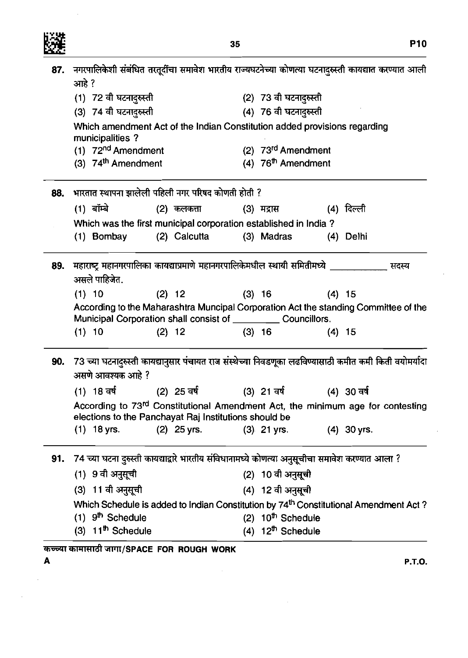

 $\sim$ 

**P10** 

|     | 87.   नगरपालिकेशी संबंधित तरतूर्दींचा समावेश भारतीय राज्यघटनेच्या कोणत्या घटनादुरुस्ती कायद्यात करण्यात आली<br>आहे ? |                                                                                                        |  |  |  |  |  |  |
|-----|----------------------------------------------------------------------------------------------------------------------|--------------------------------------------------------------------------------------------------------|--|--|--|--|--|--|
|     | (1) 72 वी घटनांदुरुस्ती                                                                                              | (2) 73 वी घटनांदुरुस्ती                                                                                |  |  |  |  |  |  |
|     | (3) 74 वी घटनादुरुस्ती                                                                                               | (4) 76 वी घटनादुरुस्ती                                                                                 |  |  |  |  |  |  |
|     | Which amendment Act of the Indian Constitution added provisions regarding<br>municipalities?                         |                                                                                                        |  |  |  |  |  |  |
|     | (1) 72 <sup>nd</sup> Amendment                                                                                       | (2) 73rd Amendment                                                                                     |  |  |  |  |  |  |
|     | (3) 74 <sup>th</sup> Amendment                                                                                       | (4) 76 <sup>th</sup> Amendment                                                                         |  |  |  |  |  |  |
| 88. | भारतात स्थापना झालेली पहिली नगर परिषद कोणती होती ?                                                                   |                                                                                                        |  |  |  |  |  |  |
|     | (1) बॉम्बे बाट कर सा<br>(2) कलकत्ता                                                                                  | (3) मद्रास (4) दिल्ली                                                                                  |  |  |  |  |  |  |
|     | Which was the first municipal corporation established in India?                                                      |                                                                                                        |  |  |  |  |  |  |
|     | (2) Calcutta (3) Madras<br>(1) Bombay                                                                                | $(4)$ Delhi                                                                                            |  |  |  |  |  |  |
| 89. | महाराष्ट्र महानगरपालिका कायद्याप्रमाणे महानगरपालिकेमधील स्थायी समितीमध्ये _<br>असले पाहिजेत.                         | सदस्य                                                                                                  |  |  |  |  |  |  |
|     | $(1)$ 10<br>$(2)$ 12                                                                                                 | $(3)$ 16<br>$(4)$ 15                                                                                   |  |  |  |  |  |  |
|     | Municipal Corporation shall consist of _____________ Councillors.                                                    | According to the Maharashtra Muncipal Corporation Act the standing Committee of the                    |  |  |  |  |  |  |
|     | $(1)$ 10<br>$(2)$ 12                                                                                                 | $(3)$ 16<br>$(4)$ 15                                                                                   |  |  |  |  |  |  |
| 90. | असणे आवश्यक आहे ?                                                                                                    | 73 च्या घटनादुरुस्ती कायद्यानुसार पंचायत राज संस्थेच्या निवडणूका लढविण्यासाठी कमीत कमी किती वयोमर्यादा |  |  |  |  |  |  |
|     | (1) 18 वर्ष (2) 25 वर्ष (3) 21 वर्ष (4) 30 वर्ष                                                                      |                                                                                                        |  |  |  |  |  |  |
|     | elections to the Panchayat Raj Institutions should be                                                                | According to 73rd Constitutional Amendment Act, the minimum age for contesting                         |  |  |  |  |  |  |
|     | $(1)$ 18 yrs.<br>$(2)$ 25 yrs.                                                                                       | $(3)$ 21 yrs.<br>$(4)$ 30 yrs.                                                                         |  |  |  |  |  |  |
| 91. | 74 च्या घटना दुरुस्ती कायद्याद्वारे भारतीय संविधानामध्ये कोणत्या अनुसूचीचा समावेश करण्यात आला ?                      |                                                                                                        |  |  |  |  |  |  |
|     | (1) 9 वी अनुसूची                                                                                                     | (2) 10 वी अनुसूची                                                                                      |  |  |  |  |  |  |
|     | (3) 11 वी अनुसूची                                                                                                    | (4) 12 वी अनुसूची                                                                                      |  |  |  |  |  |  |
|     |                                                                                                                      | Which Schedule is added to Indian Constitution by 74 <sup>th</sup> Constitutional Amendment Act?       |  |  |  |  |  |  |
|     | $(1)$ 9 <sup>th</sup> Schedule                                                                                       | (2) 10 <sup>th</sup> Schedule                                                                          |  |  |  |  |  |  |
|     | $(3)$ 11 <sup>th</sup> Schedule                                                                                      | (4) $12^{th}$ Schedule                                                                                 |  |  |  |  |  |  |
|     |                                                                                                                      |                                                                                                        |  |  |  |  |  |  |

 $\sim 10^{11}$ 

 $\sim$ 

कच्च्या कामासाठी जागा/SPACE FOR ROUGH WORK

 $\mathbf{A}$ 

 $\mathcal{A}^{\mathcal{A}}$ 

 $\bar{\mathcal{A}}$ 

**P.T.O.** 

 $\bar{\mathcal{L}}$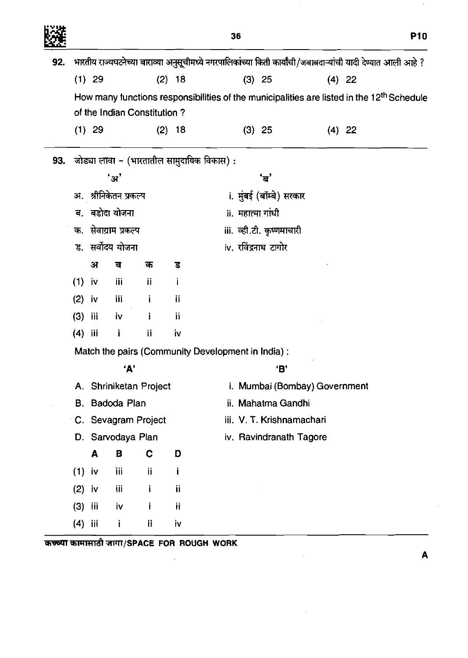|     |                                                   |                                                                                                       |                       |                             |          | 36                                         |                           |                               | <b>P10</b>                                                                                                    |  |  |
|-----|---------------------------------------------------|-------------------------------------------------------------------------------------------------------|-----------------------|-----------------------------|----------|--------------------------------------------|---------------------------|-------------------------------|---------------------------------------------------------------------------------------------------------------|--|--|
| 92. |                                                   |                                                                                                       |                       |                             |          |                                            |                           |                               | भारतीय राज्यघटनेच्या बाराव्या अनुसूचीमध्ये नगरपालिकांच्या किती कार्यांची/जबाबदाऱ्यांची यादी देण्यात आली आहे ? |  |  |
|     |                                                   | $(1)$ 29                                                                                              |                       |                             | $(2)$ 18 |                                            | $(3)$ 25                  |                               | $(4)$ 22                                                                                                      |  |  |
|     |                                                   | How many functions responsibilities of the municipalities are listed in the 12 <sup>th</sup> Schedule |                       |                             |          |                                            |                           |                               |                                                                                                               |  |  |
|     |                                                   |                                                                                                       |                       | of the Indian Constitution? |          |                                            |                           |                               |                                                                                                               |  |  |
|     |                                                   | $(1)$ 29                                                                                              |                       |                             | $(2)$ 18 |                                            | $(3)$ 25                  |                               | $(4)$ 22                                                                                                      |  |  |
| 93. |                                                   |                                                                                                       |                       |                             |          | जोड्या लावा – (भारतातील सामुदायिक विकास) : |                           |                               |                                                                                                               |  |  |
|     | 'अ'                                               |                                                                                                       |                       |                             |          |                                            | 'ਰ'                       |                               |                                                                                                               |  |  |
|     | अ. श्रीनिकेतन प्रकल्प                             |                                                                                                       |                       |                             |          |                                            | i. मुंबई (बॉम्बे) सरकार   |                               |                                                                                                               |  |  |
|     | ब. बडोदा योजना                                    |                                                                                                       |                       |                             |          |                                            | ii. महात्मा गांधी         |                               |                                                                                                               |  |  |
|     |                                                   |                                                                                                       | क.  सेवाग्राम प्रकल्प |                             |          |                                            | iii. व्ही.टी. कृष्णमाचारी |                               |                                                                                                               |  |  |
|     |                                                   | ड. सर्वोदय योजना                                                                                      |                       |                             |          |                                            | iv. रविंद्रनाथ टागोर      |                               |                                                                                                               |  |  |
|     |                                                   | अ                                                                                                     | ब                     | क                           | ड        |                                            |                           |                               |                                                                                                               |  |  |
|     | $(1)$ iv                                          |                                                                                                       | ijί                   | Ϊİ                          |          |                                            |                           |                               |                                                                                                               |  |  |
|     | $(2)$ iv                                          |                                                                                                       | iii                   | Ì                           | Ϊİ       |                                            |                           |                               |                                                                                                               |  |  |
|     | (3)                                               | jii                                                                                                   | iv                    | i                           | ïi       |                                            |                           |                               |                                                                                                               |  |  |
|     | (4)                                               | iii                                                                                                   | j.                    | ij                          | iv       |                                            |                           |                               |                                                                                                               |  |  |
|     | Match the pairs (Community Development in India): |                                                                                                       |                       |                             |          |                                            |                           |                               |                                                                                                               |  |  |
|     | 'А'                                               |                                                                                                       |                       |                             |          |                                            | 'В'                       |                               |                                                                                                               |  |  |
|     | A. Shriniketan Project                            |                                                                                                       |                       |                             |          |                                            |                           | i. Mumbai (Bombay) Government |                                                                                                               |  |  |
|     | В.                                                |                                                                                                       | Badoda Plan           |                             |          |                                            | ii. Mahatma Gandhi        |                               |                                                                                                               |  |  |
|     |                                                   |                                                                                                       |                       | C. Sevagram Project         |          |                                            | iii. V. T. Krishnamachari |                               |                                                                                                               |  |  |
|     |                                                   | D. Sarvodaya Plan                                                                                     |                       |                             |          |                                            |                           | iv. Ravindranath Tagore       |                                                                                                               |  |  |
|     |                                                   | A                                                                                                     | B                     | C                           | D        |                                            |                           |                               |                                                                                                               |  |  |
|     | (1)                                               | iv                                                                                                    | Ĩİİ                   | ij                          | i        |                                            |                           |                               |                                                                                                               |  |  |
|     | (2)                                               | iv                                                                                                    | iji                   | j                           | ij       |                                            |                           |                               |                                                                                                               |  |  |
|     | (3)                                               | Ϊij                                                                                                   | İV                    | j                           | ij       |                                            |                           |                               |                                                                                                               |  |  |
|     | (4)                                               | iii                                                                                                   | j                     | ij                          | iv       |                                            |                           |                               |                                                                                                               |  |  |

 $\bar{z}$ 

 $\sim 10^{-1}$ 

कच्च्या कामासाठी जागा/SPACE FOR ROUGH WORK

 $\sim$ 

**A** 

 $\epsilon$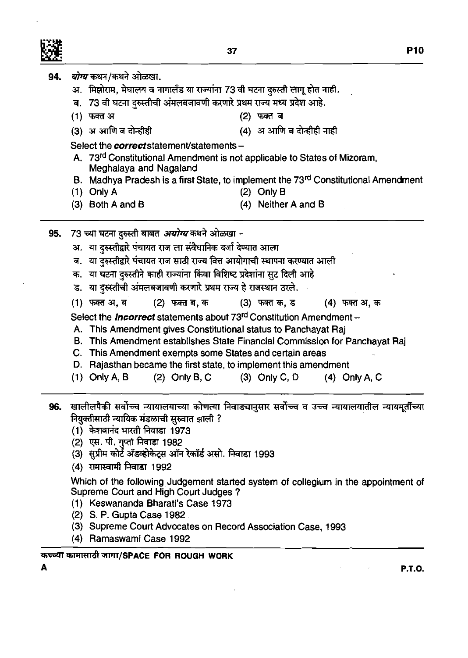|     | 94. <i>योग्य</i> कथन/कथने ओळखा.                                                                                |                                                                                    |  |  |  |  |  |  |  |  |
|-----|----------------------------------------------------------------------------------------------------------------|------------------------------------------------------------------------------------|--|--|--|--|--|--|--|--|
|     | अ. मिझोराम, मेघालय व नागालँड या राज्यांना 73 वी घटना दुरुस्ती लागू होत नाही.                                   |                                                                                    |  |  |  |  |  |  |  |  |
|     | ब. 73 वी घटना दुरुस्तीची अंमलबजावणी करणारे प्रथम राज्य मध्य प्रदेश आहे.                                        |                                                                                    |  |  |  |  |  |  |  |  |
|     | (1) फक्त अ<br>(2) फक्त ब                                                                                       |                                                                                    |  |  |  |  |  |  |  |  |
|     | (3) अ आणि ब दोन्हीही                                                                                           | (4) अ आणि ब दोन्हीही नाही                                                          |  |  |  |  |  |  |  |  |
|     | Select the <i>correct</i> statement/statements -                                                               |                                                                                    |  |  |  |  |  |  |  |  |
|     | A. 73 <sup>rd</sup> Constitutional Amendment is not applicable to States of Mizoram,<br>Meghalaya and Nagaland |                                                                                    |  |  |  |  |  |  |  |  |
|     | B. Madhya Pradesh is a first State, to implement the 73rd Constitutional Amendment                             |                                                                                    |  |  |  |  |  |  |  |  |
|     | $(1)$ Only A                                                                                                   | $(2)$ Only B                                                                       |  |  |  |  |  |  |  |  |
|     | $(3)$ Both A and B                                                                                             | Neither A and B<br>(4)                                                             |  |  |  |  |  |  |  |  |
| 95. | 73 च्या घटना दुरुस्ती बाबत <i>अयोग्य</i> कथने ओळखा -                                                           |                                                                                    |  |  |  |  |  |  |  |  |
|     | अ.  या दुरुस्तीद्वारे पंचायत राज ला संवैधानिक दर्जा देण्यात आला                                                |                                                                                    |  |  |  |  |  |  |  |  |
|     | ब. या दुरुस्तीद्वारे पंचायत राज साठी राज्य वित्त आयोगाची स्थापना करण्यात आली                                   |                                                                                    |  |  |  |  |  |  |  |  |
|     | क. या घटना दुरुस्तीने काही राज्यांना किंवा विशिष्ट प्रदेशांना सुट दिली आहे                                     |                                                                                    |  |  |  |  |  |  |  |  |
|     | ड. या दुरुस्तीची अंमलबजावणी करणारे प्रथम राज्य हे राजस्थान ठरले.                                               |                                                                                    |  |  |  |  |  |  |  |  |
|     |                                                                                                                |                                                                                    |  |  |  |  |  |  |  |  |
|     | (1) फक्त अ, ब                                                                                                  | (2) फक्त ब, क          (3) फक्त क, ड         (4) फक्त अ, क                         |  |  |  |  |  |  |  |  |
|     | Select the <i>Incorrect</i> statements about 73 <sup>rd</sup> Constitution Amendment -                         |                                                                                    |  |  |  |  |  |  |  |  |
|     | A. This Amendment gives Constitutional status to Panchayat Raj                                                 |                                                                                    |  |  |  |  |  |  |  |  |
|     | This Amendment establishes State Financial Commission for Panchayat Raj<br>В.                                  |                                                                                    |  |  |  |  |  |  |  |  |
|     | C. This Amendment exempts some States and certain areas                                                        |                                                                                    |  |  |  |  |  |  |  |  |
|     | D. Rajasthan became the first state, to implement this amendment                                               |                                                                                    |  |  |  |  |  |  |  |  |
|     | $(1)$ Only A, B                                                                                                | (2) Only B, C $(3)$ Only C, D $(4)$ Only A, C                                      |  |  |  |  |  |  |  |  |
|     | 96.  खालीलपैकी सर्वोच्च न्यायालयाच्या कोणत्या निवाड्यानुसार सर्वोच्च व उच्च न्यायालयातील न्यायमूर्तीच्या       |                                                                                    |  |  |  |  |  |  |  |  |
|     | नियुक्तीसाठी न्यायिक मंडळाची सुरुवात झाली ?                                                                    |                                                                                    |  |  |  |  |  |  |  |  |
|     | (1) केशवानंद भारती निवाडा 1973                                                                                 |                                                                                    |  |  |  |  |  |  |  |  |
|     | (2)  एस. पी. गुप्ता निवाडा 1982                                                                                |                                                                                    |  |  |  |  |  |  |  |  |
|     | (3)  सुप्रीम कोर्ट ॲडव्होकेट्स ऑन रेकॉर्ड असो. निवाडा 1993                                                     |                                                                                    |  |  |  |  |  |  |  |  |
|     | (4) रामास्वामी निवाडा 1992                                                                                     |                                                                                    |  |  |  |  |  |  |  |  |
|     |                                                                                                                | Which of the following Judgement started system of collegium in the appointment of |  |  |  |  |  |  |  |  |
|     | Supreme Court and High Court Judges?                                                                           |                                                                                    |  |  |  |  |  |  |  |  |
|     | (1) Keswananda Bharati's Case 1973                                                                             |                                                                                    |  |  |  |  |  |  |  |  |
|     | (2) S. P. Gupta Case 1982                                                                                      |                                                                                    |  |  |  |  |  |  |  |  |

**(3)** Supreme Court Advocates on Record Association Case, **1993** 

 $\sim$ 

**(4)** Ramaswami Case **1992** 

**A** 

## कच्च्या कामासाठी जागा/SPACE FOR ROUGH WORK

**P.T.O.** 

 $\sim 10^{-10}$ 

 $\mathcal{L}^{\text{max}}_{\text{max}}$  and  $\mathcal{L}^{\text{max}}_{\text{max}}$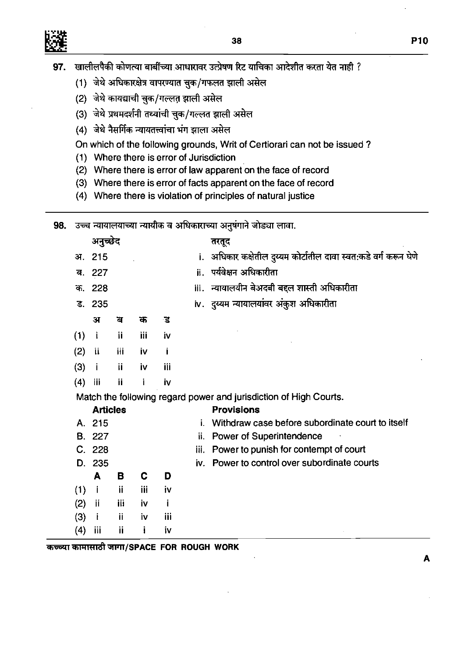- खालीलपैकी कोणत्या बाबींच्या आधारावर उत्प्रेषण रिट याचिका आदेशीत करता येत नाही ? 97.
	- (1) जेथे अधिकारक्षेत्र वापरण्यात चुक/गफलत झाली असेल
	- (2) जेथे कायद्याची चुक/गल्लत झाली असेल
	- (3) जेथे प्रथमदर्शनी तथ्यांची चुक/गल्लत झाली असेल
	- (4) जेथे नैसर्गिक न्यायतत्त्वांचा भंग झाला असेल

On which of the following grounds, Writ of Certiorari can not be issued ?

- (1) Where there is error of Jurisdiction
- (2) Where there is error of law apparent on the face of record
- (3) Where there is error of facts apparent on the face of record
- (4) Where there is violation of principles of natural justice

| 98. |     |                 |     |     |     |      | उच्च न्यायालयाच्या न्यायीक व अधिकाराच्या अनुषंगाने जोड्या लावा.   |
|-----|-----|-----------------|-----|-----|-----|------|-------------------------------------------------------------------|
|     |     | अनुच्छेद        |     |     |     |      | तरतूद                                                             |
|     | अ.  | 215             |     |     |     |      | i. अधिकार कक्षेतील दुय्यम कोर्टातील दावा स्वत:कडे वर्ग करून घेणे  |
|     | ब.  | 227             |     |     |     |      | ii. पर्यवेक्षन अधिकारीता                                          |
|     |     | क. 228          |     |     |     |      | iii. न्यायालयीन बेअदबी बद्दल शास्ती अधिकारीता                     |
|     |     | ड. 235          |     |     |     |      | iv. दुय्यम न्यायालयांवर अंकुश अधिकारीता                           |
|     |     | अ               | ন   | क   | ड   |      |                                                                   |
|     | (1) | $\mathbf{i}$    | ij  | iii | iv  |      |                                                                   |
|     | (2) | ii.             | Ш   | i۷  | Ť   |      |                                                                   |
|     | (3) | -i.             | ij  | iv  | iii |      |                                                                   |
|     | (4) | -iii            | ji  | i   | iv  |      |                                                                   |
|     |     |                 |     |     |     |      | Match the following regard power and jurisdiction of High Courts. |
|     |     | <b>Articles</b> |     |     |     |      | <b>Provisions</b>                                                 |
|     |     | A. 215          |     |     |     | L.   | Withdraw case before subordinate court to itself                  |
|     |     | <b>B.</b> 227   |     |     |     | ij.  | <b>Power of Superintendence</b>                                   |
|     |     | C. 228          |     |     |     | iii. | Power to punish for contempt of court                             |
|     |     | D. 235          |     |     |     |      | iv. Power to control over subordinate courts                      |
|     |     | A               | в   | C   | D   |      |                                                                   |
|     | (1) | j.              | -ii | iii | j۷  |      |                                                                   |
|     | (2) | ji.             | jii | İ٧  | j.  |      |                                                                   |
|     | (3) | j.              | ii  | İ٧  | iii |      |                                                                   |
|     | (4) | iii             | ij  | Ť   | j۷  |      |                                                                   |

**~~W/SPACE FOR ROUGH WORK** 

**A**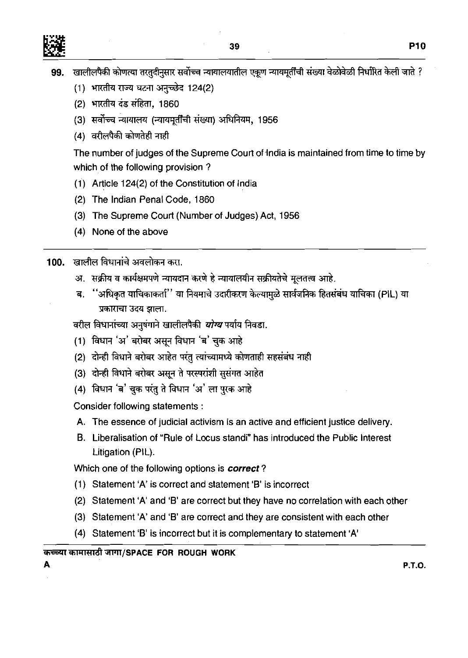

- (1) भारतीय राज्य घटना अनुच्छेद 124(2)
- (2) भारतीय दंड संहिता, 1860
- (3) सर्वोच्च न्यायालय (न्यायमूर्तींची संख्या) अधिनियम, 1956
- $(4)$  वरीलपैकी कोणतेही नाही

The number of judges of the Supreme Court of India is maintained from time to time by which of the following provision ?

- (1') Article 124(2) of the Constitution of India
- (2) The Indian Penal Code, 1860
- (3) The Supreme Court (Number of Judges) Act, 1956
- (4) None of the above

100. खालील विधानांचे अवलोकन करा.

- अ. सक्रीय व कार्यक्षमपणे न्यायदान करणे हे न्यायालयीन सक्रीयतेचे मूलतत्त्व आहे.
- ''अधिकृत याचिकाकर्ता'' या नियमाचे उदारीकरण केल्यामुळे सार्वजनिक हितसंबंध याचिका (PIL) या ਕ. प्रकाराचा उदय झाला.

वरील विधानांच्या अनुषंगाने खालीलपैकी *योग्य* पर्याय निवडा.

- (1) विधान 'अ' बरोबर असून विधान 'ब' चुक आहे
- (2) दोन्ही विधाने बरोबर आहेत परंतु त्यांच्यामध्ये कोणताही सहसंबंध नाही
- (3) दोन्ही विधाने बरोबर असून ते परस्परांशी सुसंगत आहेत
- (4) विधान 'ब' चुक परंतु ते विधान 'अ' ला पुरक आहे

Consider following statements :

- A. The essence of judicial activism is an active and efficient justice delivery.
- B. Liberalisation of "Rule of Locus standi" has introduced the Public Interest Litigation (PIL).

Which one of the following options is **correct?** 

- (1) Statement 'A' is correct and statement 'B' is incorrect
- (2) Statement 'A' and 'B' are correct but they have no correlation with each other
- (3) Statement 'A' and **'8'** are correct and they are consistent with each other
- (4) Statement **'B'** is incorrect but it is complementary to statement 'A'

# क<del>ळ्</del>या कामासाठी जागा/SPACE FOR ROUGH WORK<br>A

**A P.T.O.**